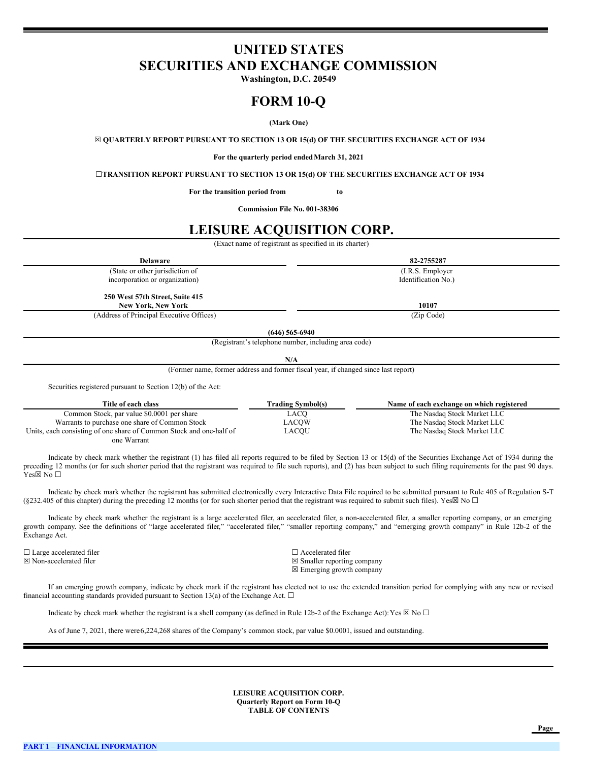# <span id="page-0-0"></span>**UNITED STATES SECURITIES AND EXCHANGE COMMISSION**

**Washington, D.C. 20549**

# **FORM 10-Q**

# **(Mark One)**

☒ **QUARTERLY REPORT PURSUANT TO SECTION 13 OR 15(d) OF THE SECURITIES EXCHANGE ACT OF 1934**

**For the quarterly period endedMarch 31, 2021**

☐**TRANSITION REPORT PURSUANT TO SECTION 13 OR 15(d) OF THE SECURITIES EXCHANGE ACT OF 1934**

**For the transition period from to**

**Commission File No. 001-38306**

# **LEISURE ACQUISITION CORP.**

(Exact name of registrant as specified in its charter)

| <b>Delaware</b>                                             |                                                                                    | 82-2755287                                |
|-------------------------------------------------------------|------------------------------------------------------------------------------------|-------------------------------------------|
| (State or other jurisdiction of                             |                                                                                    | (I.R.S. Employer)                         |
| incorporation or organization)                              |                                                                                    | Identification No.)                       |
| 250 West 57th Street, Suite 415                             |                                                                                    |                                           |
| <b>New York, New York</b>                                   |                                                                                    | 10107                                     |
| (Address of Principal Executive Offices)                    |                                                                                    | (Zip Code)                                |
|                                                             | $(646)$ 565-6940                                                                   |                                           |
|                                                             | (Registrant's telephone number, including area code)                               |                                           |
|                                                             | N/A                                                                                |                                           |
|                                                             | (Former name, former address and former fiscal year, if changed since last report) |                                           |
| Securities registered pursuant to Section 12(b) of the Act: |                                                                                    |                                           |
| Title of each class                                         | <b>Trading Symbol(s)</b>                                                           | Name of each exchange on which registered |
| Common Stock, par value \$0.0001 per share                  | <b>LACO</b>                                                                        | The Nasdaq Stock Market LLC               |
| Warrants to purchase one share of Common Stock              | <b>LACOW</b>                                                                       | The Nasdaq Stock Market LLC               |

Indicate by check mark whether the registrant (1) has filed all reports required to be filed by Section 13 or 15(d) of the Securities Exchange Act of 1934 during the preceding 12 months (or for such shorter period that the registrant was required to file such reports), and (2) has been subject to such filing requirements for the past 90 days. Yes⊠ No □

Indicate by check mark whether the registrant has submitted electronically every Interactive Data File required to be submitted pursuant to Rule 405 of Regulation S-T (§232.405 of this chapter) during the preceding 12 months (or for such shorter period that the registrant was required to submit such files). Yes $\boxtimes$  No  $\Box$ 

Indicate by check mark whether the registrant is a large accelerated filer, an accelerated filer, a non-accelerated filer, a smaller reporting company, or an emerging growth company. See the definitions of "large accelerated filer," "accelerated filer," "smaller reporting company," and "emerging growth company" in Rule 12b-2 of the Exchange Act.

☐ Large accelerated filer ☐ Accelerated filer

Units, each consisting of one share of Common Stock and one-half of one Warrant

> ⊠ Smaller reporting company ☒ Emerging growth company

LACQU The Nasdaq Stock Market LLC

If an emerging growth company, indicate by check mark if the registrant has elected not to use the extended transition period for complying with any new or revised financial accounting standards provided pursuant to Section 13(a) of the Exchange Act.  $\Box$ 

Indicate by check mark whether the registrant is a shell company (as defined in Rule 12b-2 of the Exchange Act): Yes  $\boxtimes$  No  $\Box$ 

As of June 7, 2021, there were6,224,268 shares of the Company's common stock, par value \$0.0001, issued and outstanding.

**LEISURE ACQUISITION CORP. Quarterly Report on Form 10-Q TABLE OF CONTENTS**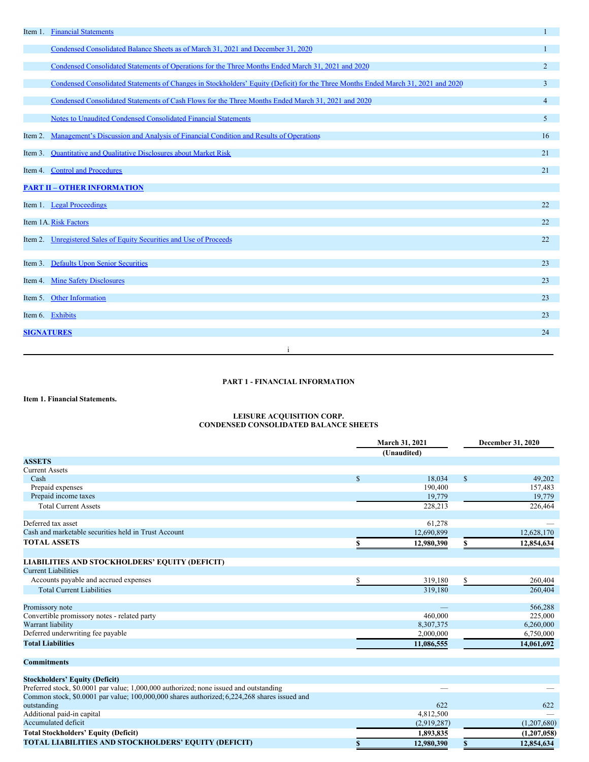|         | Item 1. Financial Statements                                                                                                      | $\mathbf{1}$   |
|---------|-----------------------------------------------------------------------------------------------------------------------------------|----------------|
|         | Condensed Consolidated Balance Sheets as of March 31, 2021 and December 31, 2020                                                  | $\mathbf{1}$   |
|         | Condensed Consolidated Statements of Operations for the Three Months Ended March 31, 2021 and 2020                                | 2              |
|         | Condensed Consolidated Statements of Changes in Stockholders' Equity (Deficit) for the Three Months Ended March 31, 2021 and 2020 | 3              |
|         | Condensed Consolidated Statements of Cash Flows for the Three Months Ended March 31, 2021 and 2020                                | $\overline{4}$ |
|         | Notes to Unaudited Condensed Consolidated Financial Statements                                                                    | 5              |
| Item 2. | Management's Discussion and Analysis of Financial Condition and Results of Operations                                             | 16             |
| Item 3. | Quantitative and Qualitative Disclosures about Market Risk                                                                        | 21             |
|         | Item 4. Control and Procedures                                                                                                    | 21             |
|         | <b>PART II - OTHER INFORMATION</b>                                                                                                |                |
|         | Item 1. Legal Proceedings                                                                                                         | 22             |
|         | Item 1A. Risk Factors                                                                                                             | 22             |
|         | Item 2. Unregistered Sales of Equity Securities and Use of Proceeds                                                               | 22             |
|         |                                                                                                                                   |                |
|         | Item 3 Defaults Upon Senior Securities                                                                                            | 23             |
|         | Item 4. Mine Safety Disclosures                                                                                                   | 23             |
|         | Item 5. Other Information                                                                                                         | 23             |
|         | Item 6. Exhibits                                                                                                                  | 23             |
|         | <b>SIGNATURES</b>                                                                                                                 | 24             |
|         | i                                                                                                                                 |                |

# **PART 1 - FINANCIAL INFORMATION**

# **Item 1. Financial Statements.**

## **LEISURE ACQUISITION CORP. CONDENSED CONSOLIDATED BALANCE SHEETS**

|                                                      | March 31, 2021<br>(Unaudited) |            | December 31, 2020 |            |  |
|------------------------------------------------------|-------------------------------|------------|-------------------|------------|--|
| <b>ASSETS</b>                                        |                               |            |                   |            |  |
| <b>Current Assets</b>                                |                               |            |                   |            |  |
| Cash                                                 | \$                            | 18.034     | <sup>\$</sup>     | 49,202     |  |
| Prepaid expenses                                     |                               | 190,400    |                   | 157,483    |  |
| Prepaid income taxes                                 |                               | 19,779     |                   | 19,779     |  |
| <b>Total Current Assets</b>                          |                               | 228,213    |                   | 226,464    |  |
|                                                      |                               |            |                   |            |  |
| Deferred tax asset                                   |                               | 61,278     |                   |            |  |
| Cash and marketable securities held in Trust Account |                               | 12,690,899 |                   | 12,628,170 |  |
| <b>TOTAL ASSETS</b>                                  |                               | 12,980,390 | S                 | 12,854,634 |  |
| LIABILITIES AND STOCKHOLDERS' EQUITY (DEFICIT)       |                               |            |                   |            |  |
| <b>Current Liabilities</b>                           |                               |            |                   |            |  |
| Accounts payable and accrued expenses                | S                             | 319,180    | \$                | 260,404    |  |
| <b>Total Current Liabilities</b>                     |                               | 319,180    |                   | 260,404    |  |
| Promissory note                                      |                               |            |                   | 566,288    |  |
| Convertible promissory notes - related party         |                               | 460,000    |                   | 225,000    |  |
| Warrant liability                                    |                               | 8,307,375  |                   | 6,260,000  |  |
| Deferred underwriting fee payable                    |                               | 2,000,000  |                   | 6,750,000  |  |
| <b>Total Liabilities</b>                             |                               | 11,086,555 |                   | 14,061,692 |  |
| <b>Commitments</b>                                   |                               |            |                   |            |  |
| <b>Stockholders' Equity (Deficit)</b>                |                               |            |                   |            |  |

| 500                                                                                          |             |             |
|----------------------------------------------------------------------------------------------|-------------|-------------|
| Preferred stock, \$0.0001 par value; 1,000,000 authorized; none issued and outstanding       |             |             |
| Common stock, \$0.0001 par value; 100,000,000 shares authorized; 6,224,268 shares issued and |             |             |
| outstanding                                                                                  | 622         | 622         |
| Additional paid-in capital                                                                   | 4,812,500   |             |
| Accumulated deficit                                                                          | (2.919.287) | (1,207,680) |
| <b>Total Stockholders' Equity (Deficit)</b>                                                  | 1.893.835   | (1,207,058) |
| <b>TOTAL LIABILITIES AND STOCKHOLDERS' EQUITY (DEFICIT)</b>                                  | 12,980,390  | 12,854,634  |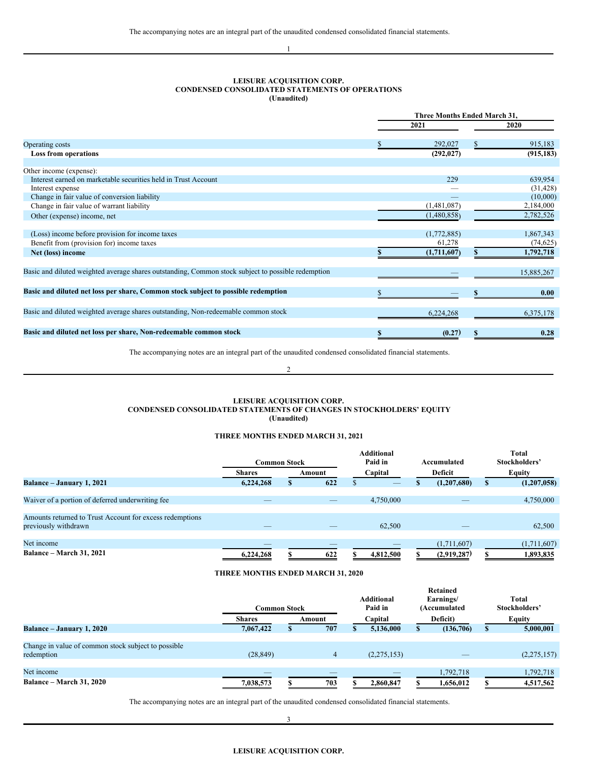1

## **LEISURE ACQUISITION CORP. CONDENSED CONSOLIDATED STATEMENTS OF OPERATIONS (Unaudited)**

|                                                                                                    | Three Months Ended March 31, |  |            |  |  |
|----------------------------------------------------------------------------------------------------|------------------------------|--|------------|--|--|
|                                                                                                    | 2021                         |  | 2020       |  |  |
| Operating costs                                                                                    | 292,027                      |  | 915,183    |  |  |
| Loss from operations                                                                               | (292, 027)                   |  | (915, 183) |  |  |
|                                                                                                    |                              |  |            |  |  |
| Other income (expense):                                                                            |                              |  |            |  |  |
| Interest earned on marketable securities held in Trust Account                                     | 229                          |  | 639,954    |  |  |
| Interest expense                                                                                   |                              |  | (31, 428)  |  |  |
| Change in fair value of conversion liability                                                       |                              |  | (10,000)   |  |  |
| Change in fair value of warrant liability                                                          | (1,481,087)                  |  | 2,184,000  |  |  |
| Other (expense) income, net                                                                        | (1,480,858)                  |  | 2,782,526  |  |  |
|                                                                                                    |                              |  |            |  |  |
| (Loss) income before provision for income taxes                                                    | (1,772,885)                  |  | 1,867,343  |  |  |
| Benefit from (provision for) income taxes                                                          | 61,278                       |  | (74, 625)  |  |  |
| Net (loss) income                                                                                  | (1,711,607)                  |  | 1,792,718  |  |  |
|                                                                                                    |                              |  |            |  |  |
| Basic and diluted weighted average shares outstanding, Common stock subject to possible redemption |                              |  | 15,885,267 |  |  |
|                                                                                                    |                              |  |            |  |  |
| Basic and diluted net loss per share, Common stock subject to possible redemption                  |                              |  | 0.00       |  |  |
|                                                                                                    |                              |  |            |  |  |
| Basic and diluted weighted average shares outstanding, Non-redeemable common stock                 | 6,224,268                    |  | 6,375,178  |  |  |
|                                                                                                    |                              |  |            |  |  |
| Basic and diluted net loss per share, Non-redeemable common stock                                  | (0.27)                       |  | 0.28       |  |  |
|                                                                                                    |                              |  |            |  |  |

The accompanying notes are an integral part of the unaudited condensed consolidated financial statements.

#### $\overline{2}$

## **LEISURE ACQUISITION CORP. CONDENSED CONSOLIDATED STATEMENTS OF CHANGES IN STOCKHOLDERS' EQUITY (Unaudited)**

# **THREE MONTHS ENDED MARCH 31, 2021**

|                                                          | <b>Common Stock</b> |        | <b>Additional</b><br>Paid in | Accumulated | Total<br>Stockholders' |
|----------------------------------------------------------|---------------------|--------|------------------------------|-------------|------------------------|
|                                                          | <b>Shares</b>       | Amount | Capital                      | Deficit     | <b>Equity</b>          |
| Balance – January 1, 2021                                | 6,224,268           | 622    |                              | (1,207,680) | (1,207,058)            |
|                                                          |                     |        |                              |             |                        |
| Waiver of a portion of deferred underwriting fee         |                     |        | 4,750,000                    |             | 4,750,000              |
|                                                          |                     |        |                              |             |                        |
| Amounts returned to Trust Account for excess redemptions |                     |        |                              |             |                        |
| previously withdrawn                                     |                     |        | 62,500                       |             | 62,500                 |
|                                                          |                     |        |                              |             |                        |
| Net income                                               |                     |        |                              | (1,711,607) | (1,711,607)            |
| <b>Balance – March 31, 2021</b>                          | 6,224,268           | 622    | 4,812,500                    | (2,919,287) | 1,893,835              |

# **THREE MONTHS ENDED MARCH 31, 2020**

|               |           |                     |               | Paid in     |                   |           |                                                                 | Total<br>Stockholders' |
|---------------|-----------|---------------------|---------------|-------------|-------------------|-----------|-----------------------------------------------------------------|------------------------|
| <b>Shares</b> |           |                     |               | Capital     |                   | Deficit)  |                                                                 | <b>Equity</b>          |
| 7,067,422     |           | 707                 |               | 5,136,000   |                   | (136,706) |                                                                 | 5,000,001              |
| (28, 849)     |           | 4                   |               | (2,275,153) |                   | _         |                                                                 | (2,275,157)            |
|               |           |                     |               |             |                   | 1,792,718 |                                                                 | 1,792,718<br>4,517,562 |
|               | 7,038,573 | <b>Common Stock</b> | Amount<br>703 |             | <b>Additional</b> |           | Retained<br>Earnings/<br>(Accumulated<br>1,656,012<br>2,860,847 |                        |

The accompanying notes are an integral part of the unaudited condensed consolidated financial statements.

3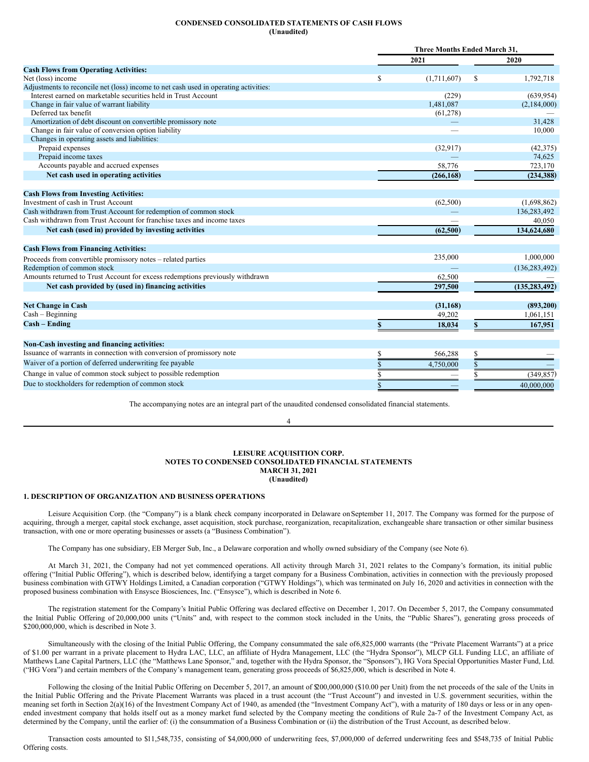## **CONDENSED CONSOLIDATED STATEMENTS OF CASH FLOWS (Unaudited)**

| 2021<br>2020<br><b>Cash Flows from Operating Activities:</b><br>Net (loss) income<br>S<br>\$<br>(1,711,607)<br>1,792,718<br>Adjustments to reconcile net (loss) income to net cash used in operating activities:<br>Interest earned on marketable securities held in Trust Account<br>(639, 954)<br>(229)<br>Change in fair value of warrant liability<br>1,481,087<br>(2,184,000)<br>Deferred tax benefit<br>(61, 278) |
|-------------------------------------------------------------------------------------------------------------------------------------------------------------------------------------------------------------------------------------------------------------------------------------------------------------------------------------------------------------------------------------------------------------------------|
|                                                                                                                                                                                                                                                                                                                                                                                                                         |
|                                                                                                                                                                                                                                                                                                                                                                                                                         |
|                                                                                                                                                                                                                                                                                                                                                                                                                         |
|                                                                                                                                                                                                                                                                                                                                                                                                                         |
|                                                                                                                                                                                                                                                                                                                                                                                                                         |
|                                                                                                                                                                                                                                                                                                                                                                                                                         |
|                                                                                                                                                                                                                                                                                                                                                                                                                         |
| Amortization of debt discount on convertible promissory note<br>31,428                                                                                                                                                                                                                                                                                                                                                  |
| Change in fair value of conversion option liability<br>10,000                                                                                                                                                                                                                                                                                                                                                           |
| Changes in operating assets and liabilities:                                                                                                                                                                                                                                                                                                                                                                            |
| Prepaid expenses<br>(32,917)<br>(42, 375)                                                                                                                                                                                                                                                                                                                                                                               |
| Prepaid income taxes<br>74,625                                                                                                                                                                                                                                                                                                                                                                                          |
| Accounts payable and accrued expenses<br>58,776<br>723,170                                                                                                                                                                                                                                                                                                                                                              |
| Net cash used in operating activities<br>(266, 168)<br>(234, 388)                                                                                                                                                                                                                                                                                                                                                       |
| <b>Cash Flows from Investing Activities:</b>                                                                                                                                                                                                                                                                                                                                                                            |
| Investment of cash in Trust Account<br>(62,500)<br>(1,698,862)                                                                                                                                                                                                                                                                                                                                                          |
| Cash withdrawn from Trust Account for redemption of common stock<br>136,283,492                                                                                                                                                                                                                                                                                                                                         |
| Cash withdrawn from Trust Account for franchise taxes and income taxes<br>40,050                                                                                                                                                                                                                                                                                                                                        |
| Net cash (used in) provided by investing activities<br>(62,500)<br>134,624,680                                                                                                                                                                                                                                                                                                                                          |
| <b>Cash Flows from Financing Activities:</b>                                                                                                                                                                                                                                                                                                                                                                            |
| 235,000<br>1,000,000<br>Proceeds from convertible promissory notes – related parties                                                                                                                                                                                                                                                                                                                                    |
| Redemption of common stock<br>(136, 283, 492)                                                                                                                                                                                                                                                                                                                                                                           |
| Amounts returned to Trust Account for excess redemptions previously withdrawn<br>62,500                                                                                                                                                                                                                                                                                                                                 |
| Net cash provided by (used in) financing activities                                                                                                                                                                                                                                                                                                                                                                     |
| 297,500<br>(135, 283, 492)                                                                                                                                                                                                                                                                                                                                                                                              |
| <b>Net Change in Cash</b><br>(31, 168)<br>(893, 200)                                                                                                                                                                                                                                                                                                                                                                    |
| $Cash - Beginning$<br>49,202<br>1.061.151                                                                                                                                                                                                                                                                                                                                                                               |
| $Cash - Ending$<br>167,951<br>18,034<br>$\mathbf{s}$<br><b>S</b>                                                                                                                                                                                                                                                                                                                                                        |
| Non-Cash investing and financing activities:                                                                                                                                                                                                                                                                                                                                                                            |
| Issuance of warrants in connection with conversion of promissory note<br>\$<br>\$<br>566,288                                                                                                                                                                                                                                                                                                                            |
| Waiver of a portion of deferred underwriting fee payable<br>4,750,000<br>\$<br>S                                                                                                                                                                                                                                                                                                                                        |
| Change in value of common stock subject to possible redemption<br>\$<br>S<br>(349, 857)                                                                                                                                                                                                                                                                                                                                 |
| Due to stockholders for redemption of common stock<br>\$<br>40,000,000                                                                                                                                                                                                                                                                                                                                                  |

The accompanying notes are an integral part of the unaudited condensed consolidated financial statements. 4

## **LEISURE ACQUISITION CORP. NOTES TO CONDENSED CONSOLIDATED FINANCIAL STATEMENTS MARCH 31, 2021 (Unaudited)**

## **1. DESCRIPTION OF ORGANIZATION AND BUSINESS OPERATIONS**

Leisure Acquisition Corp. (the "Company") is a blank check company incorporated in Delaware onSeptember 11, 2017. The Company was formed for the purpose of acquiring, through a merger, capital stock exchange, asset acquisition, stock purchase, reorganization, recapitalization, exchangeable share transaction or other similar business transaction, with one or more operating businesses or assets (a "Business Combination").

The Company has one subsidiary, EB Merger Sub, Inc., a Delaware corporation and wholly owned subsidiary of the Company (see Note 6).

At March 31, 2021, the Company had not yet commenced operations. All activity through March 31, 2021 relates to the Company's formation, its initial public offering ("Initial Public Offering"), which is described below, identifying a target company for a Business Combination, activities in connection with the previously proposed business combination with GTWY Holdings Limited, a Canadian corporation ("GTWY Holdings"), which was terminated on July 16, 2020 and activities in connection with the proposed business combination with Ensysce Biosciences, Inc. ("Ensysce"), which is described in Note 6.

The registration statement for the Company's Initial Public Offering was declared effective on December 1, 2017. On December 5, 2017, the Company consummated the Initial Public Offering of 20,000,000 units ("Units" and, with respect to the common stock included in the Units, the "Public Shares"), generating gross proceeds of \$200,000,000, which is described in Note 3.

Simultaneously with the closing of the Initial Public Offering, the Company consummated the sale of6,825,000 warrants (the "Private Placement Warrants") at a price of \$1.00 per warrant in a private placement to Hydra LAC, LLC, an affiliate of Hydra Management, LLC (the "Hydra Sponsor"), MLCP GLL Funding LLC, an affiliate of Matthews Lane Capital Partners, LLC (the "Matthews Lane Sponsor," and, together with the Hydra Sponsor, the "Sponsors"), HG Vora Special Opportunities Master Fund, Ltd. ("HG Vora") and certain members of the Company's management team, generating gross proceeds of \$6,825,000, which is described in Note 4.

Following the closing of the Initial Public Offering on December 5, 2017, an amount of \$200,000,000 (\$10.00 per Unit) from the net proceeds of the sale of the Units in the Initial Public Offering and the Private Placement Warrants was placed in a trust account (the "Trust Account") and invested in U.S. government securities, within the meaning set forth in Section 2(a)(16) of the Investment Company Act of 1940, as amended (the "Investment Company Act"), with a maturity of 180 days or less or in any openended investment company that holds itself out as a money market fund selected by the Company meeting the conditions of Rule 2a-7 of the Investment Company Act, as determined by the Company, until the earlier of: (i) the consummation of a Business Combination or (ii) the distribution of the Trust Account, as described below.

Transaction costs amounted to \$11,548,735, consisting of \$4,000,000 of underwriting fees, \$7,000,000 of deferred underwriting fees and \$548,735 of Initial Public Offering costs.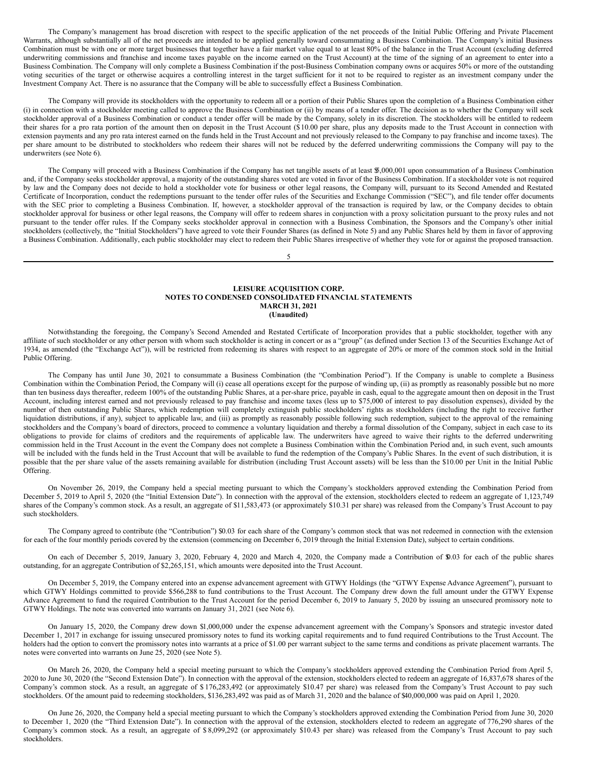The Company's management has broad discretion with respect to the specific application of the net proceeds of the Initial Public Offering and Private Placement Warrants, although substantially all of the net proceeds are intended to be applied generally toward consummating a Business Combination. The Company's initial Business Combination must be with one or more target businesses that together have a fair market value equal to at least 80% of the balance in the Trust Account (excluding deferred underwriting commissions and franchise and income taxes payable on the income earned on the Trust Account) at the time of the signing of an agreement to enter into a Business Combination. The Company will only complete a Business Combination if the post-Business Combination company owns or acquires 50% or more of the outstanding voting securities of the target or otherwise acquires a controlling interest in the target sufficient for it not to be required to register as an investment company under the Investment Company Act. There is no assurance that the Company will be able to successfully effect a Business Combination.

The Company will provide its stockholders with the opportunity to redeem all or a portion of their Public Shares upon the completion of a Business Combination either (i) in connection with a stockholder meeting called to approve the Business Combination or (ii) by means of a tender offer. The decision as to whether the Company will seek stockholder approval of a Business Combination or conduct a tender offer will be made by the Company, solely in its discretion. The stockholders will be entitled to redeem their shares for a pro rata portion of the amount then on deposit in the Trust Account (\$10.00 per share, plus any deposits made to the Trust Account in connection with extension payments and any pro rata interest earned on the funds held in the Trust Account and not previously released to the Company to pay franchise and income taxes). The per share amount to be distributed to stockholders who redeem their shares will not be reduced by the deferred underwriting commissions the Company will pay to the underwriters (see Note 6).

The Company will proceed with a Business Combination if the Company has net tangible assets of at least \$5,000,001 upon consummation of a Business Combination and, if the Company seeks stockholder approval, a majority of the outstanding shares voted are voted in favor of the Business Combination. If a stockholder vote is not required by law and the Company does not decide to hold a stockholder vote for business or other legal reasons, the Company will, pursuant to its Second Amended and Restated Certificate of Incorporation, conduct the redemptions pursuant to the tender offer rules of the Securities and Exchange Commission ("SEC"), and file tender offer documents with the SEC prior to completing a Business Combination. If, however, a stockholder approval of the transaction is required by law, or the Company decides to obtain stockholder approval for business or other legal reasons, the Company will offer to redeem shares in conjunction with a proxy solicitation pursuant to the proxy rules and not pursuant to the tender offer rules. If the Company seeks stockholder approval in connection with a Business Combination, the Sponsors and the Company's other initial stockholders (collectively, the "Initial Stockholders") have agreed to vote their Founder Shares (as defined in Note 5) and any Public Shares held by them in favor of approving a Business Combination. Additionally, each public stockholder may elect to redeem their Public Shares irrespective of whether they vote for or against the proposed transaction.

5

## **LEISURE ACQUISITION CORP. NOTES TO CONDENSED CONSOLIDATED FINANCIAL STATEMENTS MARCH 31, 2021 (Unaudited)**

Notwithstanding the foregoing, the Company's Second Amended and Restated Certificate of Incorporation provides that a public stockholder, together with any affiliate of such stockholder or any other person with whom such stockholder is acting in concert or as a "group" (as defined under Section 13 of the Securities Exchange Act of 1934, as amended (the "Exchange Act")), will be restricted from redeeming its shares with respect to an aggregate of 20% or more of the common stock sold in the Initial Public Offering.

The Company has until June 30, 2021 to consummate a Business Combination (the "Combination Period"). If the Company is unable to complete a Business Combination within the Combination Period, the Company will (i) cease all operations except for the purpose of winding up, (ii) as promptly as reasonably possible but no more than ten business days thereafter, redeem 100% of the outstanding Public Shares, at a per-share price, payable in cash, equal to the aggregate amount then on deposit in the Trust Account, including interest earned and not previously released to pay franchise and income taxes (less up to \$75,000 of interest to pay dissolution expenses), divided by the number of then outstanding Public Shares, which redemption will completely extinguish public stockholders' rights as stockholders (including the right to receive further liquidation distributions, if any), subject to applicable law, and (iii) as promptly as reasonably possible following such redemption, subject to the approval of the remaining stockholders and the Company's board of directors, proceed to commence a voluntary liquidation and thereby a formal dissolution of the Company, subject in each case to its obligations to provide for claims of creditors and the requirements of applicable law. The underwriters have agreed to waive their rights to the deferred underwriting commission held in the Trust Account in the event the Company does not complete a Business Combination within the Combination Period and, in such event, such amounts will be included with the funds held in the Trust Account that will be available to fund the redemption of the Company's Public Shares. In the event of such distribution, it is possible that the per share value of the assets remaining available for distribution (including Trust Account assets) will be less than the \$10.00 per Unit in the Initial Public Offering.

On November 26, 2019, the Company held a special meeting pursuant to which the Company's stockholders approved extending the Combination Period from December 5, 2019 to April 5, 2020 (the "Initial Extension Date"). In connection with the approval of the extension, stockholders elected to redeem an aggregate of 1,123,749 shares of the Company's common stock. As a result, an aggregate of \$11,583,473 (or approximately \$10.31 per share) was released from the Company's Trust Account to pay such stockholders.

The Company agreed to contribute (the "Contribution") \$0.03 for each share of the Company's common stock that was not redeemed in connection with the extension for each of the four monthly periods covered by the extension (commencing on December 6, 2019 through the Initial Extension Date), subject to certain conditions.

On each of December 5, 2019, January 3, 2020, February 4, 2020 and March 4, 2020, the Company made a Contribution of \$0.03 for each of the public shares outstanding, for an aggregate Contribution of \$2,265,151, which amounts were deposited into the Trust Account.

On December 5, 2019, the Company entered into an expense advancement agreement with GTWY Holdings (the "GTWY Expense Advance Agreement"), pursuant to which GTWY Holdings committed to provide \$566,288 to fund contributions to the Trust Account. The Company drew down the full amount under the GTWY Expense Advance Agreement to fund the required Contribution to the Trust Account for the period December 6, 2019 to January 5, 2020 by issuing an unsecured promissory note to GTWY Holdings. The note was converted into warrants on January 31, 2021 (see Note 6).

On January 15, 2020, the Company drew down \$1,000,000 under the expense advancement agreement with the Company's Sponsors and strategic investor dated December 1, 2017 in exchange for issuing unsecured promissory notes to fund its working capital requirements and to fund required Contributions to the Trust Account. The holders had the option to convert the promissory notes into warrants at a price of \$1.00 per warrant subject to the same terms and conditions as private placement warrants. The notes were converted into warrants on June 25, 2020 (see Note 5).

On March 26, 2020, the Company held a special meeting pursuant to which the Company's stockholders approved extending the Combination Period from April 5, 2020 to June 30, 2020 (the "Second Extension Date"). In connection with the approval of the extension, stockholders elected to redeem an aggregate of 16,837,678 shares of the Company's common stock. As a result, an aggregate of \$ 176,283,492 (or approximately \$10.47 per share) was released from the Company's Trust Account to pay such stockholders. Of the amount paid to redeeming stockholders, \$136,283,492 was paid as of March 31, 2020 and the balance of \$40,000,000 was paid on April 1, 2020.

On June 26, 2020, the Company held a special meeting pursuant to which the Company's stockholders approved extending the Combination Period from June 30, 2020 to December 1, 2020 (the "Third Extension Date"). In connection with the approval of the extension, stockholders elected to redeem an aggregate of 776,290 shares of the Company's common stock. As a result, an aggregate of \$ 8,099,292 (or approximately \$10.43 per share) was released from the Company's Trust Account to pay such stockholders.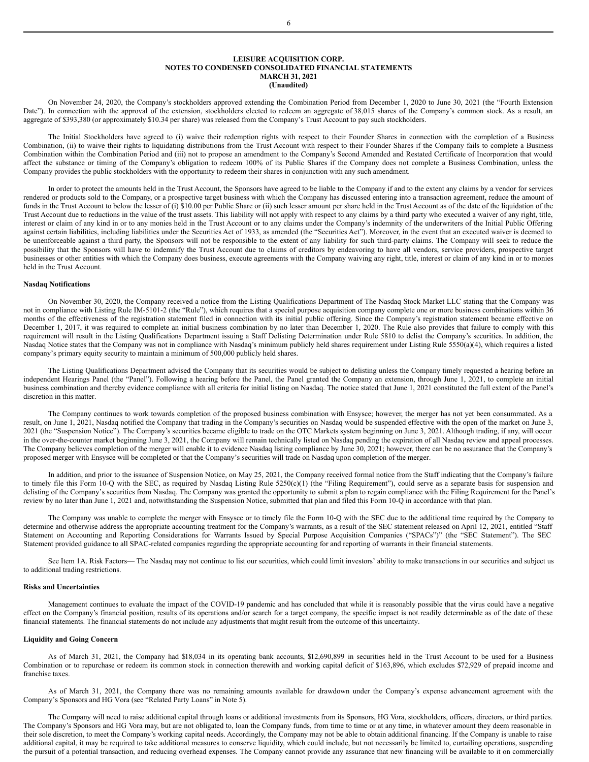## **LEISURE ACQUISITION CORP. NOTES TO CONDENSED CONSOLIDATED FINANCIAL STATEMENTS MARCH 31, 2021 (Unaudited)**

On November 24, 2020, the Company's stockholders approved extending the Combination Period from December 1, 2020 to June 30, 2021 (the "Fourth Extension Date"). In connection with the approval of the extension, stockholders elected to redeem an aggregate of 38,015 shares of the Company's common stock. As a result, an aggregate of \$393,380 (or approximately \$10.34 per share) was released from the Company's Trust Account to pay such stockholders.

The Initial Stockholders have agreed to (i) waive their redemption rights with respect to their Founder Shares in connection with the completion of a Business Combination, (ii) to waive their rights to liquidating distributions from the Trust Account with respect to their Founder Shares if the Company fails to complete a Business Combination within the Combination Period and (iii) not to propose an amendment to the Company's Second Amended and Restated Certificate of Incorporation that would affect the substance or timing of the Company's obligation to redeem 100% of its Public Shares if the Company does not complete a Business Combination, unless the Company provides the public stockholders with the opportunity to redeem their shares in conjunction with any such amendment.

In order to protect the amounts held in the Trust Account, the Sponsors have agreed to be liable to the Company if and to the extent any claims by a vendor for services rendered or products sold to the Company, or a prospective target business with which the Company has discussed entering into a transaction agreement, reduce the amount of funds in the Trust Account to below the lesser of (i) \$10.00 per Public Share or (ii) such lesser amount per share held in the Trust Account as of the date of the liquidation of the Trust Account due to reductions in the value of the trust assets. This liability will not apply with respect to any claims by a third party who executed a waiver of any right, title, interest or claim of any kind in or to any monies held in the Trust Account or to any claims under the Company's indemnity of the underwriters of the Initial Public Offering against certain liabilities, including liabilities under the Securities Act of 1933, as amended (the "Securities Act"). Moreover, in the event that an executed waiver is deemed to be unenforceable against a third party, the Sponsors will not be responsible to the extent of any liability for such third-party claims. The Company will seek to reduce the possibility that the Sponsors will have to indemnify the Trust Account due to claims of creditors by endeavoring to have all vendors, service providers, prospective target businesses or other entities with which the Company does business, execute agreements with the Company waiving any right, title, interest or claim of any kind in or to monies held in the Trust Account.

## **Nasdaq Notifications**

On November 30, 2020, the Company received a notice from the Listing Qualifications Department of The Nasdaq Stock Market LLC stating that the Company was not in compliance with Listing Rule IM-5101-2 (the "Rule"), which requires that a special purpose acquisition company complete one or more business combinations within 36 months of the effectiveness of the registration statement filed in connection with its initial public offering. Since the Company's registration statement became effective on December 1, 2017, it was required to complete an initial business combination by no later than December 1, 2020. The Rule also provides that failure to comply with this requirement will result in the Listing Qualifications Department issuing a Staff Delisting Determination under Rule 5810 to delist the Company's securities. In addition, the Nasdaq Notice states that the Company was not in compliance with Nasdaq's minimum publicly held shares requirement under Listing Rule 5550(a)(4), which requires a listed company's primary equity security to maintain a minimum of 500,000 publicly held shares.

The Listing Qualifications Department advised the Company that its securities would be subject to delisting unless the Company timely requested a hearing before an independent Hearings Panel (the "Panel"). Following a hearing before the Panel, the Panel granted the Company an extension, through June 1, 2021, to complete an initial business combination and thereby evidence compliance with all criteria for initial listing on Nasdaq. The notice stated that June 1, 2021 constituted the full extent of the Panel's discretion in this matter.

The Company continues to work towards completion of the proposed business combination with Ensysce; however, the merger has not yet been consummated. As a result, on June 1, 2021, Nasdaq notified the Company that trading in the Company's securities on Nasdaq would be suspended effective with the open of the market on June 3, 2021 (the "Suspension Notice"). The Company's securities became eligible to trade on the OTC Markets system beginning on June 3, 2021. Although trading, if any, will occur in the over-the-counter market beginning June 3, 2021, the Company will remain technically listed on Nasdaq pending the expiration of all Nasdaq review and appeal processes. The Company believes completion of the merger will enable it to evidence Nasdaq listing compliance by June 30, 2021; however, there can be no assurance that the Company's proposed merger with Ensysce will be completed or that the Company's securities will trade on Nasdaq upon completion of the merger.

In addition, and prior to the issuance of Suspension Notice, on May 25, 2021, the Company received formal notice from the Staff indicating that the Company's failure to timely file this Form 10-Q with the SEC, as required by Nasdaq Listing Rule  $5250(c)(1)$  (the "Filing Requirement"), could serve as a separate basis for suspension and delisting of the Company's securities from Nasdaq. The Company was granted the opportunity to submit a plan to regain compliance with the Filing Requirement for the Panel's review by no later than June 1, 2021 and, notwithstanding the Suspension Notice, submitted that plan and filed this Form 10-Q in accordance with that plan.

The Company was unable to complete the merger with Ensysce or to timely file the Form 10-Q with the SEC due to the additional time required by the Company to determine and otherwise address the appropriate accounting treatment for the Company's warrants, as a result of the SEC statement released on April 12, 2021, entitled "Staff Statement on Accounting and Reporting Considerations for Warrants Issued by Special Purpose Acquisition Companies ("SPACs")" (the "SEC Statement"). The SEC Statement provided guidance to all SPAC-related companies regarding the appropriate accounting for and reporting of warrants in their financial statements.

See Item 1A. Risk Factors— The Nasdaq may not continue to list our securities, which could limit investors' ability to make transactions in our securities and subject us to additional trading restrictions.

## **Risks and Uncertainties**

Management continues to evaluate the impact of the COVID-19 pandemic and has concluded that while it is reasonably possible that the virus could have a negative effect on the Company's financial position, results of its operations and/or search for a target company, the specific impact is not readily determinable as of the date of these financial statements. The financial statements do not include any adjustments that might result from the outcome of this uncertainty.

#### **Liquidity and Going Concern**

As of March 31, 2021, the Company had \$18,034 in its operating bank accounts, \$12,690,899 in securities held in the Trust Account to be used for a Business Combination or to repurchase or redeem its common stock in connection therewith and working capital deficit of \$163,896, which excludes \$72,929 of prepaid income and franchise taxes.

As of March 31, 2021, the Company there was no remaining amounts available for drawdown under the Company's expense advancement agreement with the Company's Sponsors and HG Vora (see "Related Party Loans" in Note 5).

The Company will need to raise additional capital through loans or additional investments from its Sponsors, HG Vora, stockholders, officers, directors, or third parties. The Company's Sponsors and HG Vora may, but are not obligated to, loan the Company funds, from time to time or at any time, in whatever amount they deem reasonable in their sole discretion, to meet the Company's working capital needs. Accordingly, the Company may not be able to obtain additional financing. If the Company is unable to raise additional capital, it may be required to take additional measures to conserve liquidity, which could include, but not necessarily be limited to, curtailing operations, suspending the pursuit of a potential transaction, and reducing overhead expenses. The Company cannot provide any assurance that new financing will be available to it on commercially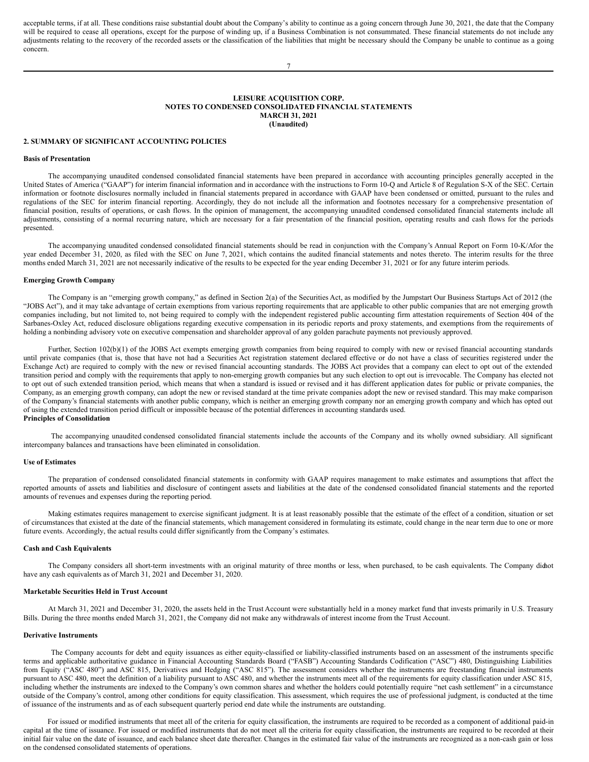acceptable terms, if at all. These conditions raise substantial doubt about the Company's ability to continue as a going concern through June 30, 2021, the date that the Company will be required to cease all operations, except for the purpose of winding up, if a Business Combination is not consummated. These financial statements do not include any adjustments relating to the recovery of the recorded assets or the classification of the liabilities that might be necessary should the Company be unable to continue as a going concern.

7

## **LEISURE ACQUISITION CORP. NOTES TO CONDENSED CONSOLIDATED FINANCIAL STATEMENTS MARCH 31, 2021 (Unaudited)**

#### **2. SUMMARY OF SIGNIFICANT ACCOUNTING POLICIES**

#### **Basis of Presentation**

The accompanying unaudited condensed consolidated financial statements have been prepared in accordance with accounting principles generally accepted in the United States of America ("GAAP") for interim financial information and in accordance with the instructions to Form 10-Q and Article 8 of Regulation S-X of the SEC. Certain information or footnote disclosures normally included in financial statements prepared in accordance with GAAP have been condensed or omitted, pursuant to the rules and regulations of the SEC for interim financial reporting. Accordingly, they do not include all the information and footnotes necessary for a comprehensive presentation of financial position, results of operations, or cash flows. In the opinion of management, the accompanying unaudited condensed consolidated financial statements include all adjustments, consisting of a normal recurring nature, which are necessary for a fair presentation of the financial position, operating results and cash flows for the periods presented.

The accompanying unaudited condensed consolidated financial statements should be read in conjunction with the Company's Annual Report on Form 10-K/Afor the year ended December 31, 2020, as filed with the SEC on June 7, 2021, which contains the audited financial statements and notes thereto. The interim results for the three months ended March 31, 2021 are not necessarily indicative of the results to be expected for the year ending December 31, 2021 or for any future interim periods.

## **Emerging Growth Company**

The Company is an "emerging growth company," as defined in Section 2(a) of the Securities Act, as modified by the Jumpstart Our Business Startups Act of 2012 (the "JOBS Act"), and it may take advantage of certain exemptions from various reporting requirements that are applicable to other public companies that are not emerging growth companies including, but not limited to, not being required to comply with the independent registered public accounting firm attestation requirements of Section 404 of the Sarbanes-Oxley Act, reduced disclosure obligations regarding executive compensation in its periodic reports and proxy statements, and exemptions from the requirements of holding a nonbinding advisory vote on executive compensation and shareholder approval of any golden parachute payments not previously approved.

Further, Section 102(b)(1) of the JOBS Act exempts emerging growth companies from being required to comply with new or revised financial accounting standards until private companies (that is, those that have not had a Securities Act registration statement declared effective or do not have a class of securities registered under the Exchange Act) are required to comply with the new or revised financial accounting standards. The JOBS Act provides that a company can elect to opt out of the extended transition period and comply with the requirements that apply to non-emerging growth companies but any such election to opt out is irrevocable. The Company has elected not to opt out of such extended transition period, which means that when a standard is issued or revised and it has different application dates for public or private companies, the Company, as an emerging growth company, can adopt the new or revised standard at the time private companies adopt the new or revised standard. This may make comparison of the Company's financial statements with another public company, which is neither an emerging growth company nor an emerging growth company and which has opted out of using the extended transition period difficult or impossible because of the potential differences in accounting standards used. **Principles of Consolidation**

The accompanying unaudited condensed consolidated financial statements include the accounts of the Company and its wholly owned subsidiary. All significant intercompany balances and transactions have been eliminated in consolidation.

### **Use of Estimates**

The preparation of condensed consolidated financial statements in conformity with GAAP requires management to make estimates and assumptions that affect the reported amounts of assets and liabilities and disclosure of contingent assets and liabilities at the date of the condensed consolidated financial statements and the reported amounts of revenues and expenses during the reporting period.

Making estimates requires management to exercise significant judgment. It is at least reasonably possible that the estimate of the effect of a condition, situation or set of circumstances that existed at the date of the financial statements, which management considered in formulating its estimate, could change in the near term due to one or more future events. Accordingly, the actual results could differ significantly from the Company's estimates.

## **Cash and Cash Equivalents**

The Company considers all short-term investments with an original maturity of three months or less, when purchased, to be cash equivalents. The Company didnot have any cash equivalents as of March 31, 2021 and December 31, 2020.

## **Marketable Securities Held in Trust Account**

At March 31, 2021 and December 31, 2020, the assets held in the Trust Account were substantially held in a money market fund that invests primarily in U.S. Treasury Bills. During the three months ended March 31, 2021, the Company did not make any withdrawals of interest income from the Trust Account.

## **Derivative Instruments**

The Company accounts for debt and equity issuances as either equity-classified or liability-classified instruments based on an assessment of the instruments specific terms and applicable authoritative guidance in Financial Accounting Standards Board ("FASB") Accounting Standards Codification ("ASC") 480, Distinguishing Liabilities from Equity ("ASC 480") and ASC 815, Derivatives and Hedging ("ASC 815"). The assessment considers whether the instruments are freestanding financial instruments pursuant to ASC 480, meet the definition of a liability pursuant to ASC 480, and whether the instruments meet all of the requirements for equity classification under ASC 815, including whether the instruments are indexed to the Company's own common shares and whether the holders could potentially require "net cash settlement" in a circumstance outside of the Company's control, among other conditions for equity classification. This assessment, which requires the use of professional judgment, is conducted at the time of issuance of the instruments and as of each subsequent quarterly period end date while the instruments are outstanding.

For issued or modified instruments that meet all of the criteria for equity classification, the instruments are required to be recorded as a component of additional paid-in capital at the time of issuance. For issued or modified instruments that do not meet all the criteria for equity classification, the instruments are required to be recorded at their initial fair value on the date of issuance, and each balance sheet date thereafter. Changes in the estimated fair value of the instruments are recognized as a non-cash gain or loss on the condensed consolidated statements of operations.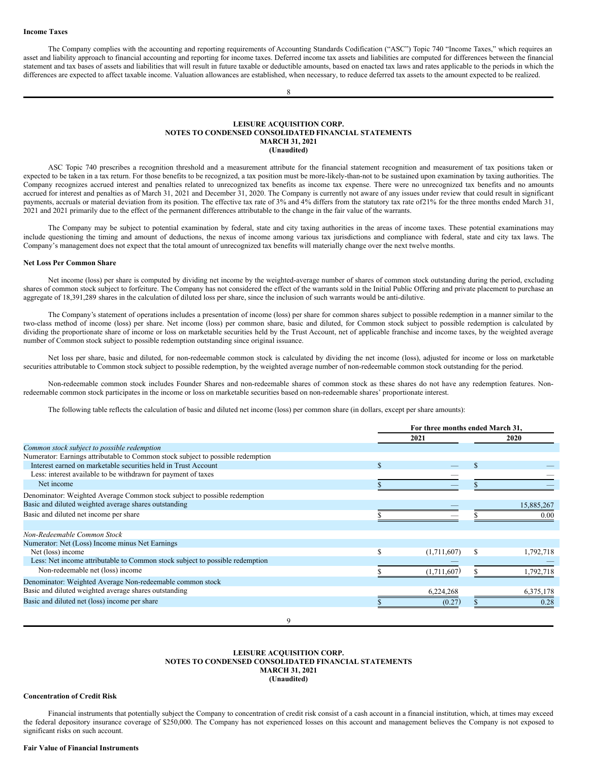#### **Income Taxes**

The Company complies with the accounting and reporting requirements of Accounting Standards Codification ("ASC") Topic 740 "Income Taxes," which requires an asset and liability approach to financial accounting and reporting for income taxes. Deferred income tax assets and liabilities are computed for differences between the financial statement and tax bases of assets and liabilities that will result in future taxable or deductible amounts, based on enacted tax laws and rates applicable to the periods in which the differences are expected to affect taxable income. Valuation allowances are established, when necessary, to reduce deferred tax assets to the amount expected to be realized.

#### 8

## **LEISURE ACQUISITION CORP. NOTES TO CONDENSED CONSOLIDATED FINANCIAL STATEMENTS MARCH 31, 2021 (Unaudited)**

ASC Topic 740 prescribes a recognition threshold and a measurement attribute for the financial statement recognition and measurement of tax positions taken or expected to be taken in a tax return. For those benefits to be recognized, a tax position must be more-likely-than-not to be sustained upon examination by taxing authorities. The Company recognizes accrued interest and penalties related to unrecognized tax benefits as income tax expense. There were no unrecognized tax benefits and no amounts accrued for interest and penalties as of March 31, 2021 and December 31, 2020. The Company is currently not aware of any issues under review that could result in significant payments, accruals or material deviation from its position. The effective tax rate of 3% and 4% differs from the statutory tax rate of21% for the three months ended March 31, 2021 and 2021 primarily due to the effect of the permanent differences attributable to the change in the fair value of the warrants.

The Company may be subject to potential examination by federal, state and city taxing authorities in the areas of income taxes. These potential examinations may include questioning the timing and amount of deductions, the nexus of income among various tax jurisdictions and compliance with federal, state and city tax laws. The Company's management does not expect that the total amount of unrecognized tax benefits will materially change over the next twelve months.

#### **Net Loss Per Common Share**

Net income (loss) per share is computed by dividing net income by the weighted-average number of shares of common stock outstanding during the period, excluding shares of common stock subject to forfeiture. The Company has not considered the effect of the warrants sold in the Initial Public Offering and private placement to purchase an aggregate of 18,391,289 shares in the calculation of diluted loss per share, since the inclusion of such warrants would be anti-dilutive.

The Company's statement of operations includes a presentation of income (loss) per share for common shares subject to possible redemption in a manner similar to the two-class method of income (loss) per share. Net income (loss) per common share, basic and diluted, for Common stock subject to possible redemption is calculated by dividing the proportionate share of income or loss on marketable securities held by the Trust Account, net of applicable franchise and income taxes, by the weighted average number of Common stock subject to possible redemption outstanding since original issuance.

Net loss per share, basic and diluted, for non-redeemable common stock is calculated by dividing the net income (loss), adjusted for income or loss on marketable securities attributable to Common stock subject to possible redemption, by the weighted average number of non-redeemable common stock outstanding for the period.

Non-redeemable common stock includes Founder Shares and non-redeemable shares of common stock as these shares do not have any redemption features. Nonredeemable common stock participates in the income or loss on marketable securities based on non-redeemable shares' proportionate interest.

The following table reflects the calculation of basic and diluted net income (loss) per common share (in dollars, except per share amounts):

|                                                                                 | For three months ended March 31, |             |  |            |
|---------------------------------------------------------------------------------|----------------------------------|-------------|--|------------|
|                                                                                 |                                  | 2020        |  |            |
| Common stock subject to possible redemption                                     |                                  |             |  |            |
| Numerator: Earnings attributable to Common stock subject to possible redemption |                                  |             |  |            |
| Interest earned on marketable securities held in Trust Account                  |                                  |             |  |            |
| Less: interest available to be withdrawn for payment of taxes                   |                                  |             |  |            |
| Net income                                                                      |                                  |             |  |            |
| Denominator: Weighted Average Common stock subject to possible redemption       |                                  |             |  |            |
| Basic and diluted weighted average shares outstanding                           |                                  |             |  | 15,885,267 |
| Basic and diluted net income per share                                          |                                  |             |  | 0.00       |
|                                                                                 |                                  |             |  |            |
| Non-Redeemable Common Stock                                                     |                                  |             |  |            |
| Numerator: Net (Loss) Income minus Net Earnings                                 |                                  |             |  |            |
| Net (loss) income                                                               |                                  | (1,711,607) |  | 1,792,718  |
| Less: Net income attributable to Common stock subject to possible redemption    |                                  |             |  |            |
| Non-redeemable net (loss) income                                                |                                  | (1,711,607) |  | 1,792,718  |
| Denominator: Weighted Average Non-redeemable common stock                       |                                  |             |  |            |
| Basic and diluted weighted average shares outstanding                           |                                  | 6,224,268   |  | 6,375,178  |
| Basic and diluted net (loss) income per share                                   |                                  | (0.27)      |  | 0.28       |
| Q                                                                               |                                  |             |  |            |

## **LEISURE ACQUISITION CORP. NOTES TO CONDENSED CONSOLIDATED FINANCIAL STATEMENTS MARCH 31, 2021 (Unaudited)**

#### **Concentration of Credit Risk**

Financial instruments that potentially subject the Company to concentration of credit risk consist of a cash account in a financial institution, which, at times may exceed the federal depository insurance coverage of \$250,000. The Company has not experienced losses on this account and management believes the Company is not exposed to significant risks on such account.

#### **Fair Value of Financial Instruments**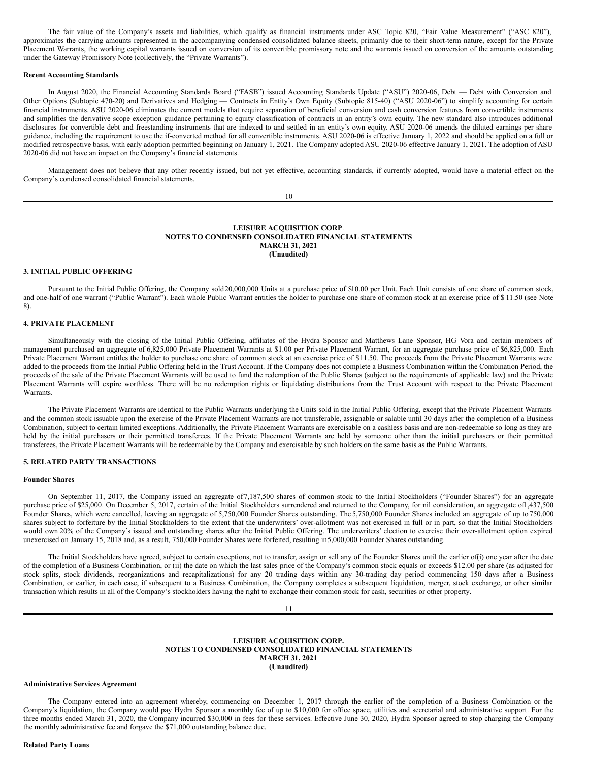The fair value of the Company's assets and liabilities, which qualify as financial instruments under ASC Topic 820, "Fair Value Measurement" ("ASC 820"), approximates the carrying amounts represented in the accompanying condensed consolidated balance sheets, primarily due to their short-term nature, except for the Private Placement Warrants, the working capital warrants issued on conversion of its convertible promissory note and the warrants issued on conversion of the amounts outstanding under the Gateway Promissory Note (collectively, the "Private Warrants").

#### **Recent Accounting Standards**

In August 2020, the Financial Accounting Standards Board ("FASB") issued Accounting Standards Update ("ASU") 2020-06, Debt — Debt with Conversion and Other Options (Subtopic 470-20) and Derivatives and Hedging — Contracts in Entity's Own Equity (Subtopic 815-40) ("ASU 2020-06") to simplify accounting for certain financial instruments. ASU 2020-06 eliminates the current models that require separation of beneficial conversion and cash conversion features from convertible instruments and simplifies the derivative scope exception guidance pertaining to equity classification of contracts in an entity's own equity. The new standard also introduces additional disclosures for convertible debt and freestanding instruments that are indexed to and settled in an entity's own equity. ASU 2020-06 amends the diluted earnings per share guidance, including the requirement to use the if-converted method for all convertible instruments. ASU 2020-06 is effective January 1, 2022 and should be applied on a full or modified retrospective basis, with early adoption permitted beginning on January 1, 2021. The Company adopted ASU 2020-06 effective January 1, 2021. The adoption of ASU 2020-06 did not have an impact on the Company's financial statements.

Management does not believe that any other recently issued, but not yet effective, accounting standards, if currently adopted, would have a material effect on the Company's condensed consolidated financial statements.

10

## **LEISURE ACQUISITION CORP**. **NOTES TO CONDENSED CONSOLIDATED FINANCIAL STATEMENTS MARCH 31, 2021 (Unaudited)**

#### **3. INITIAL PUBLIC OFFERING**

Pursuant to the Initial Public Offering, the Company sold20,000,000 Units at a purchase price of \$10.00 per Unit. Each Unit consists of one share of common stock, and one-half of one warrant ("Public Warrant"). Each whole Public Warrant entitles the holder to purchase one share of common stock at an exercise price of \$ 11.50 (see Note 8).

## **4. PRIVATE PLACEMENT**

Simultaneously with the closing of the Initial Public Offering, affiliates of the Hydra Sponsor and Matthews Lane Sponsor, HG Vora and certain members of management purchased an aggregate of 6,825,000 Private Placement Warrants at \$1.00 per Private Placement Warrant, for an aggregate purchase price of \$6,825,000. Each Private Placement Warrant entitles the holder to purchase one share of common stock at an exercise price of \$11.50. The proceeds from the Private Placement Warrants were added to the proceeds from the Initial Public Offering held in the Trust Account. If the Company does not complete a Business Combination within the Combination Period, the proceeds of the sale of the Private Placement Warrants will be used to fund the redemption of the Public Shares (subject to the requirements of applicable law) and the Private Placement Warrants will expire worthless. There will be no redemption rights or liquidating distributions from the Trust Account with respect to the Private Placement Warrants.

The Private Placement Warrants are identical to the Public Warrants underlying the Units sold in the Initial Public Offering, except that the Private Placement Warrants and the common stock issuable upon the exercise of the Private Placement Warrants are not transferable, assignable or salable until 30 days after the completion of a Business Combination, subject to certain limited exceptions. Additionally, the Private Placement Warrants are exercisable on a cashless basis and are non-redeemable so long as they are held by the initial purchasers or their permitted transferees. If the Private Placement Warrants are held by someone other than the initial purchasers or their permitted transferees, the Private Placement Warrants will be redeemable by the Company and exercisable by such holders on the same basis as the Public Warrants.

# **5. RELATED PARTY TRANSACTIONS**

## **Founder Shares**

On September 11, 2017, the Company issued an aggregate of7,187,500 shares of common stock to the Initial Stockholders ("Founder Shares") for an aggregate purchase price of \$25,000. On December 5, 2017, certain of the Initial Stockholders surrendered and returned to the Company, for nil consideration, an aggregate of1,437,500 Founder Shares, which were cancelled, leaving an aggregate of 5,750,000 Founder Shares outstanding. The 5,750,000 Founder Shares included an aggregate of up to 750,000 shares subject to forfeiture by the Initial Stockholders to the extent that the underwriters' over-allotment was not exercised in full or in part, so that the Initial Stockholders would own 20% of the Company's issued and outstanding shares after the Initial Public Offering. The underwriters' election to exercise their over-allotment option expired unexercised on January 15, 2018 and, as a result, 750,000 Founder Shares were forfeited, resulting in5,000,000 Founder Shares outstanding.

The Initial Stockholders have agreed, subject to certain exceptions, not to transfer, assign or sell any of the Founder Shares until the earlier of(i) one year after the date of the completion of a Business Combination, or (ii) the date on which the last sales price of the Company's common stock equals or exceeds \$12.00 per share (as adjusted for stock splits, stock dividends, reorganizations and recapitalizations) for any 20 trading days within any 30-trading day period commencing 150 days after a Business Combination, or earlier, in each case, if subsequent to a Business Combination, the Company completes a subsequent liquidation, merger, stock exchange, or other similar transaction which results in all of the Company's stockholders having the right to exchange their common stock for cash, securities or other property.

11

## **LEISURE ACQUISITION CORP. NOTES TO CONDENSED CONSOLIDATED FINANCIAL STATEMENTS MARCH 31, 2021 (Unaudited)**

#### **Administrative Services Agreement**

The Company entered into an agreement whereby, commencing on December 1, 2017 through the earlier of the completion of a Business Combination or the Company's liquidation, the Company would pay Hydra Sponsor a monthly fee of up to \$10,000 for office space, utilities and secretarial and administrative support. For the three months ended March 31, 2020, the Company incurred \$30,000 in fees for these services. Effective June 30, 2020, Hydra Sponsor agreed to stop charging the Company the monthly administrative fee and forgave the \$71,000 outstanding balance due.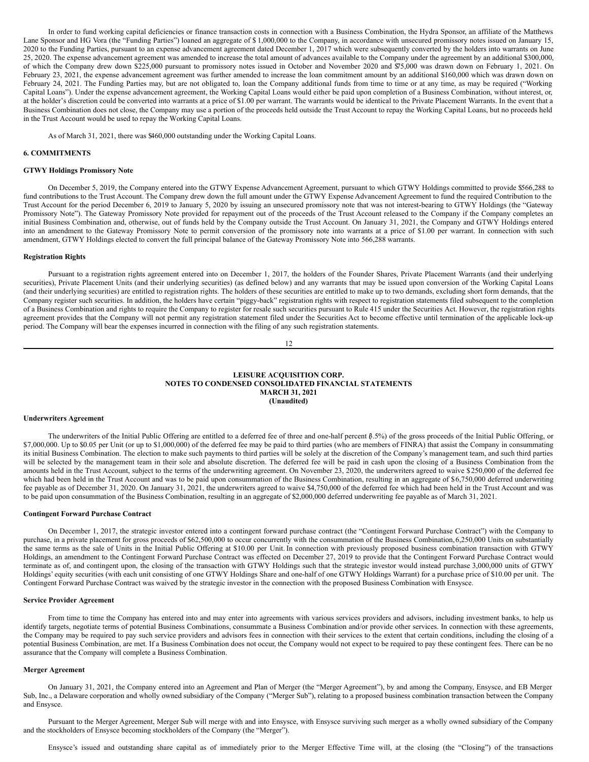In order to fund working capital deficiencies or finance transaction costs in connection with a Business Combination, the Hydra Sponsor, an affiliate of the Matthews Lane Sponsor and HG Vora (the "Funding Parties") loaned an aggregate of \$1,000,000 to the Company, in accordance with unsecured promissory notes issued on January 15, 2020 to the Funding Parties, pursuant to an expense advancement agreement dated December 1, 2017 which were subsequently converted by the holders into warrants on June 25, 2020. The expense advancement agreement was amended to increase the total amount of advances available to the Company under the agreement by an additional \$300,000, of which the Company drew down \$225,000 pursuant to promissory notes issued in October and November 2020 and \$75,000 was drawn down on February 1, 2021. On February 23, 2021, the expense advancement agreement was further amended to increase the loan commitment amount by an additional \$160,000 which was drawn down on February 24, 2021. The Funding Parties may, but are not obligated to, loan the Company additional funds from time to time or at any time, as may be required ("Working Capital Loans"). Under the expense advancement agreement, the Working Capital Loans would either be paid upon completion of a Business Combination, without interest, or, at the holder's discretion could be converted into warrants at a price of \$1.00 per warrant. The warrants would be identical to the Private Placement Warrants. In the event that a Business Combination does not close, the Company may use a portion of the proceeds held outside the Trust Account to repay the Working Capital Loans, but no proceeds held in the Trust Account would be used to repay the Working Capital Loans.

As of March 31, 2021, there was \$460,000 outstanding under the Working Capital Loans.

# **6. COMMITMENTS**

## **GTWY Holdings Promissory Note**

On December 5, 2019, the Company entered into the GTWY Expense Advancement Agreement, pursuant to which GTWY Holdings committed to provide \$566,288 to fund contributions to the Trust Account. The Company drew down the full amount under the GTWY Expense Advancement Agreement to fund the required Contribution to the Trust Account for the period December 6, 2019 to January 5, 2020 by issuing an unsecured promissory note that was not interest-bearing to GTWY Holdings (the "Gateway Promissory Note"). The Gateway Promissory Note provided for repayment out of the proceeds of the Trust Account released to the Company if the Company completes an initial Business Combination and, otherwise, out of funds held by the Company outside the Trust Account. On January 31, 2021, the Company and GTWY Holdings entered into an amendment to the Gateway Promissory Note to permit conversion of the promissory note into warrants at a price of \$1.00 per warrant. In connection with such amendment, GTWY Holdings elected to convert the full principal balance of the Gateway Promissory Note into 566,288 warrants.

#### **Registration Rights**

Pursuant to a registration rights agreement entered into on December 1, 2017, the holders of the Founder Shares, Private Placement Warrants (and their underlying securities), Private Placement Units (and their underlying securities) (as defined below) and any warrants that may be issued upon conversion of the Working Capital Loans (and their underlying securities) are entitled to registration rights. The holders of these securities are entitled to make up to two demands, excluding short form demands, that the Company register such securities. In addition, the holders have certain "piggy-back" registration rights with respect to registration statements filed subsequent to the completion of a Business Combination and rights to require the Company to register for resale such securities pursuant to Rule 415 under the Securities Act. However, the registration rights agreement provides that the Company will not permit any registration statement filed under the Securities Act to become effective until termination of the applicable lock-up period. The Company will bear the expenses incurred in connection with the filing of any such registration statements.

#### 12

## **LEISURE ACQUISITION CORP. NOTES TO CONDENSED CONSOLIDATED FINANCIAL STATEMENTS MARCH 31, 2021 (Unaudited)**

#### **Underwriters Agreement**

The underwriters of the Initial Public Offering are entitled to a deferred fee of three and one-half percent  $\beta$ .5%) of the gross proceeds of the Initial Public Offering, or \$7,000,000. Up to \$0.05 per Unit (or up to \$1,000,000) of the deferred fee may be paid to third parties (who are members of FINRA) that assist the Company in consummating its initial Business Combination. The election to make such payments to third parties will be solely at the discretion of the Company's management team, and such third parties will be selected by the management team in their sole and absolute discretion. The deferred fee will be paid in cash upon the closing of a Business Combination from the amounts held in the Trust Account, subject to the terms of the underwriting agreement. On November 23, 2020, the underwriters agreed to waive \$250,000 of the deferred fee which had been held in the Trust Account and was to be paid upon consummation of the Business Combination, resulting in an aggregate of \$6,750,000 deferred underwriting fee payable as of December 31, 2020. On January 31, 2021, the underwriters agreed to waive \$4,750,000 of the deferred fee which had been held in the Trust Account and was to be paid upon consummation of the Business Combination, resulting in an aggregate of \$2,000,000 deferred underwriting fee payable as of March 31, 2021.

#### **Contingent Forward Purchase Contract**

On December 1, 2017, the strategic investor entered into a contingent forward purchase contract (the "Contingent Forward Purchase Contract") with the Company to purchase, in a private placement for gross proceeds of \$62,500,000 to occur concurrently with the consummation of the Business Combination,6,250,000 Units on substantially the same terms as the sale of Units in the Initial Public Offering at \$10.00 per Unit. In connection with previously proposed business combination transaction with GTWY Holdings, an amendment to the Contingent Forward Purchase Contract was effected on December 27, 2019 to provide that the Contingent Forward Purchase Contract would terminate as of, and contingent upon, the closing of the transaction with GTWY Holdings such that the strategic investor would instead purchase 3,000,000 units of GTWY Holdings' equity securities (with each unit consisting of one GTWY Holdings Share and one-half of one GTWY Holdings Warrant) for a purchase price of \$10.00 per unit. The Contingent Forward Purchase Contract was waived by the strategic investor in the connection with the proposed Business Combination with Ensysce.

#### **Service Provider Agreement**

From time to time the Company has entered into and may enter into agreements with various services providers and advisors, including investment banks, to help us identify targets, negotiate terms of potential Business Combinations, consummate a Business Combination and/or provide other services. In connection with these agreements, the Company may be required to pay such service providers and advisors fees in connection with their services to the extent that certain conditions, including the closing of a potential Business Combination, are met. If a Business Combination does not occur, the Company would not expect to be required to pay these contingent fees. There can be no assurance that the Company will complete a Business Combination.

#### **Merger Agreement**

On January 31, 2021, the Company entered into an Agreement and Plan of Merger (the "Merger Agreement"), by and among the Company, Ensysce, and EB Merger Sub, Inc., a Delaware corporation and wholly owned subsidiary of the Company ("Merger Sub"), relating to a proposed business combination transaction between the Company and Ensysce.

Pursuant to the Merger Agreement, Merger Sub will merge with and into Ensysce, with Ensysce surviving such merger as a wholly owned subsidiary of the Company and the stockholders of Ensysce becoming stockholders of the Company (the "Merger").

Ensysce's issued and outstanding share capital as of immediately prior to the Merger Effective Time will, at the closing (the "Closing") of the transactions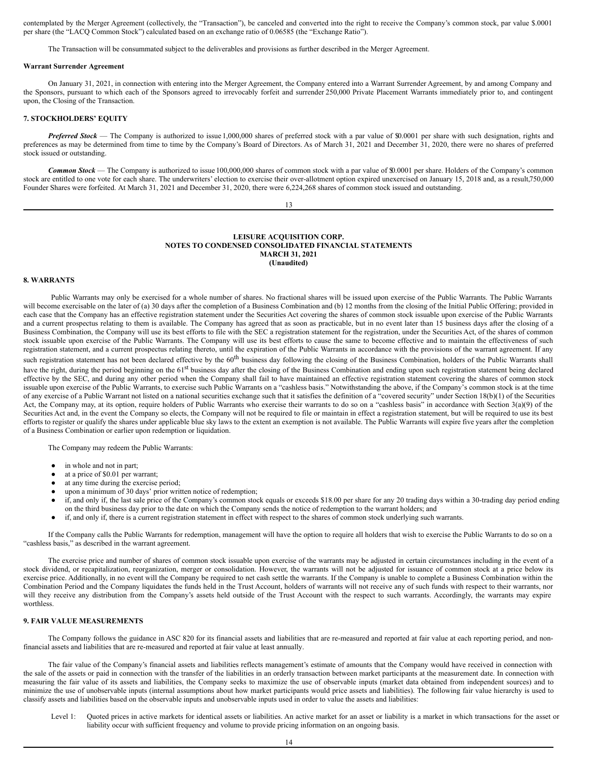contemplated by the Merger Agreement (collectively, the "Transaction"), be canceled and converted into the right to receive the Company's common stock, par value \$.0001 per share (the "LACQ Common Stock") calculated based on an exchange ratio of 0.06585 (the "Exchange Ratio").

The Transaction will be consummated subject to the deliverables and provisions as further described in the Merger Agreement.

#### **Warrant Surrender Agreement**

On January 31, 2021, in connection with entering into the Merger Agreement, the Company entered into a Warrant Surrender Agreement, by and among Company and the Sponsors, pursuant to which each of the Sponsors agreed to irrevocably forfeit and surrender 250,000 Private Placement Warrants immediately prior to, and contingent upon, the Closing of the Transaction.

## **7. STOCKHOLDERS' EQUITY**

*Preferred Stock* — The Company is authorized to issue 1,000,000 shares of preferred stock with a par value of \$0.0001 per share with such designation, rights and preferences as may be determined from time to time by the Company's Board of Directors. As of March 31, 2021 and December 31, 2020, there were no shares of preferred stock issued or outstanding.

*Common Stock* — The Company is authorized to issue 100,000,000 shares of common stock with a par value of \$0.0001 per share. Holders of the Company's common stock are entitled to one vote for each share. The underwriters' election to exercise their over-allotment option expired unexercised on January 15, 2018 and, as a result,750,000 Founder Shares were forfeited. At March 31, 2021 and December 31, 2020, there were 6,224,268 shares of common stock issued and outstanding.

13

## **LEISURE ACQUISITION CORP. NOTES TO CONDENSED CONSOLIDATED FINANCIAL STATEMENTS MARCH 31, 2021 (Unaudited)**

# **8. WARRANTS**

Public Warrants may only be exercised for a whole number of shares. No fractional shares will be issued upon exercise of the Public Warrants. The Public Warrants will become exercisable on the later of (a) 30 days after the completion of a Business Combination and (b) 12 months from the closing of the Initial Public Offering; provided in each case that the Company has an effective registration statement under the Securities Act covering the shares of common stock issuable upon exercise of the Public Warrants and a current prospectus relating to them is available. The Company has agreed that as soon as practicable, but in no event later than 15 business days after the closing of a Business Combination, the Company will use its best efforts to file with the SEC a registration statement for the registration, under the Securities Act, of the shares of common stock issuable upon exercise of the Public Warrants. The Company will use its best efforts to cause the same to become effective and to maintain the effectiveness of such registration statement, and a current prospectus relating thereto, until the expiration of the Public Warrants in accordance with the provisions of the warrant agreement. If any such registration statement has not been declared effective by the 60<sup>th</sup> business day following the closing of the Business Combination, holders of the Public Warrants shall have the right, during the period beginning on the 61<sup>st</sup> business day after the closing of the Business Combination and ending upon such registration statement being declared effective by the SEC, and during any other period when the Company shall fail to have maintained an effective registration statement covering the shares of common stock issuable upon exercise of the Public Warrants, to exercise such Public Warrants on a "cashless basis." Notwithstanding the above, if the Company's common stock is at the time of any exercise of a Public Warrant not listed on a national securities exchange such that it satisfies the definition of a "covered security" under Section 18(b)(1) of the Securities Act, the Company may, at its option, require holders of Public Warrants who exercise their warrants to do so on a "cashless basis" in accordance with Section 3(a)(9) of the Securities Act and, in the event the Company so elects, the Company will not be required to file or maintain in effect a registration statement, but will be required to use its best efforts to register or qualify the shares under applicable blue sky laws to the extent an exemption is not available. The Public Warrants will expire five years after the completion of a Business Combination or earlier upon redemption or liquidation.

The Company may redeem the Public Warrants:

- in whole and not in part;
- at a price of \$0.01 per warrant;
- at any time during the exercise period;
- upon a minimum of 30 days' prior written notice of redemption;
- if, and only if, the last sale price of the Company's common stock equals or exceeds \$18.00 per share for any 20 trading days within a 30-trading day period ending on the third business day prior to the date on which the Company sends the notice of redemption to the warrant holders; and
- if, and only if, there is a current registration statement in effect with respect to the shares of common stock underlying such warrants.

If the Company calls the Public Warrants for redemption, management will have the option to require all holders that wish to exercise the Public Warrants to do so on a "cashless basis," as described in the warrant agreement.

The exercise price and number of shares of common stock issuable upon exercise of the warrants may be adjusted in certain circumstances including in the event of a stock dividend, or recapitalization, reorganization, merger or consolidation. However, the warrants will not be adjusted for issuance of common stock at a price below its exercise price. Additionally, in no event will the Company be required to net cash settle the warrants. If the Company is unable to complete a Business Combination within the Combination Period and the Company liquidates the funds held in the Trust Account, holders of warrants will not receive any of such funds with respect to their warrants, nor will they receive any distribution from the Company's assets held outside of the Trust Account with the respect to such warrants. Accordingly, the warrants may expire worthless.

# **9. FAIR VALUE MEASUREMENTS**

The Company follows the guidance in ASC 820 for its financial assets and liabilities that are re-measured and reported at fair value at each reporting period, and nonfinancial assets and liabilities that are re-measured and reported at fair value at least annually.

The fair value of the Company's financial assets and liabilities reflects management's estimate of amounts that the Company would have received in connection with the sale of the assets or paid in connection with the transfer of the liabilities in an orderly transaction between market participants at the measurement date. In connection with measuring the fair value of its assets and liabilities, the Company seeks to maximize the use of observable inputs (market data obtained from independent sources) and to minimize the use of unobservable inputs (internal assumptions about how market participants would price assets and liabilities). The following fair value hierarchy is used to classify assets and liabilities based on the observable inputs and unobservable inputs used in order to value the assets and liabilities:

Level 1: Ouoted prices in active markets for identical assets or liabilities. An active market for an asset or liability is a market in which transactions for the asset or liability occur with sufficient frequency and volume to provide pricing information on an ongoing basis.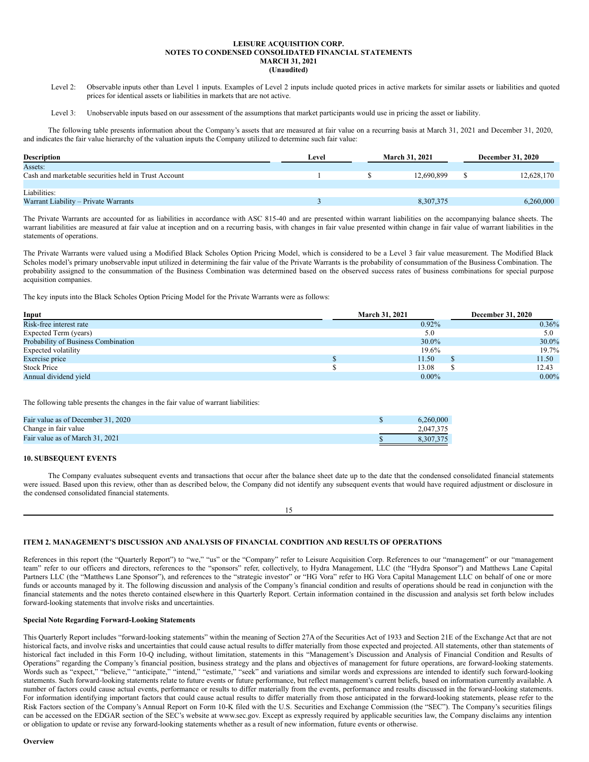## **LEISURE ACQUISITION CORP. NOTES TO CONDENSED CONSOLIDATED FINANCIAL STATEMENTS MARCH 31, 2021 (Unaudited)**

- Level 2: Observable inputs other than Level 1 inputs. Examples of Level 2 inputs include quoted prices in active markets for similar assets or liabilities and quoted prices for identical assets or liabilities in markets that are not active.
- Level 3: Unobservable inputs based on our assessment of the assumptions that market participants would use in pricing the asset or liability.

The following table presents information about the Company's assets that are measured at fair value on a recurring basis at March 31, 2021 and December 31, 2020, and indicates the fair value hierarchy of the valuation inputs the Company utilized to determine such fair value:

| <b>Description</b>                                   | Level | <b>March 31, 2021</b> |  | <b>December 31, 2020</b> |
|------------------------------------------------------|-------|-----------------------|--|--------------------------|
| Assets:                                              |       |                       |  |                          |
| Cash and marketable securities held in Trust Account |       | 12.690.899            |  | 12,628,170               |
| Liabilities:                                         |       |                       |  |                          |
| Warrant Liability – Private Warrants                 |       | 8,307,375             |  | 6,260,000                |

The Private Warrants are accounted for as liabilities in accordance with ASC 815-40 and are presented within warrant liabilities on the accompanying balance sheets. The warrant liabilities are measured at fair value at inception and on a recurring basis, with changes in fair value presented within change in fair value of warrant liabilities in the statements of operations.

The Private Warrants were valued using a Modified Black Scholes Option Pricing Model, which is considered to be a Level 3 fair value measurement. The Modified Black Scholes model's primary unobservable input utilized in determining the fair value of the Private Warrants is the probability of consummation of the Business Combination. The probability assigned to the consummation of the Business Combination was determined based on the observed success rates of business combinations for special purpose acquisition companies.

The key inputs into the Black Scholes Option Pricing Model for the Private Warrants were as follows:

| Input                               | <b>March 31, 2021</b> | <b>December 31, 2020</b> |
|-------------------------------------|-----------------------|--------------------------|
| Risk-free interest rate             | $0.92\%$              | 0.36%                    |
| Expected Term (years)               | 5.0                   | 5.0                      |
| Probability of Business Combination | 30.0%                 | 30.0%                    |
| Expected volatility                 | 19.6%                 | 19.7%                    |
| Exercise price                      | 11.50                 | 11.50                    |
| <b>Stock Price</b>                  | 13.08                 | 12.43                    |
| Annual dividend yield               | $0.00\%$              | $0.00\%$                 |

The following table presents the changes in the fair value of warrant liabilities:

| Fair value as of December 31, 2020 | 6.260,000 |
|------------------------------------|-----------|
| Change in fair value               | 2,047,375 |
| Fair value as of March 31, 2021    | 8.307.375 |

## **10. SUBSEQUENT EVENTS**

The Company evaluates subsequent events and transactions that occur after the balance sheet date up to the date that the condensed consolidated financial statements were issued. Based upon this review, other than as described below, the Company did not identify any subsequent events that would have required adjustment or disclosure in the condensed consolidated financial statements.

15

**ITEM 2. MANAGEMENT'S DISCUSSION AND ANALYSIS OF FINANCIAL CONDITION AND RESULTS OF OPERATIONS**

References in this report (the "Quarterly Report") to "we," "us" or the "Company" refer to Leisure Acquisition Corp. References to our "management" or our "management team" refer to our officers and directors, references to the "sponsors" refer, collectively, to Hydra Management, LLC (the "Hydra Sponsor") and Matthews Lane Capital Partners LLC (the "Matthews Lane Sponsor"), and references to the "strategic investor" or "HG Vora" refer to HG Vora Capital Management LLC on behalf of one or more funds or accounts managed by it. The following discussion and analysis of the Company's financial condition and results of operations should be read in conjunction with the financial statements and the notes thereto contained elsewhere in this Quarterly Report. Certain information contained in the discussion and analysis set forth below includes forward-looking statements that involve risks and uncertainties.

# **Special Note Regarding Forward-Looking Statements**

This Quarterly Report includes "forward-looking statements" within the meaning of Section 27A of the Securities Act of 1933 and Section 21E of the Exchange Act that are not historical facts, and involve risks and uncertainties that could cause actual results to differ materially from those expected and projected. All statements, other than statements of historical fact included in this Form 10-Q including, without limitation, statements in this "Management's Discussion and Analysis of Financial Condition and Results of Operations" regarding the Company's financial position, business strategy and the plans and objectives of management for future operations, are forward-looking statements. Words such as "expect," "believe," "anticipate," "intend," "estimate," "seek" and variations and similar words and expressions are intended to identify such forward-looking statements. Such forward-looking statements relate to future events or future performance, but reflect management's current beliefs, based on information currently available. A number of factors could cause actual events, performance or results to differ materially from the events, performance and results discussed in the forward-looking statements. For information identifying important factors that could cause actual results to differ materially from those anticipated in the forward-looking statements, please refer to the Risk Factors section of the Company's Annual Report on Form 10-K filed with the U.S. Securities and Exchange Commission (the "SEC"). The Company's securities filings can be accessed on the EDGAR section of the SEC's website at www.sec.gov. Except as expressly required by applicable securities law, the Company disclaims any intention or obligation to update or revise any forward-looking statements whether as a result of new information, future events or otherwise.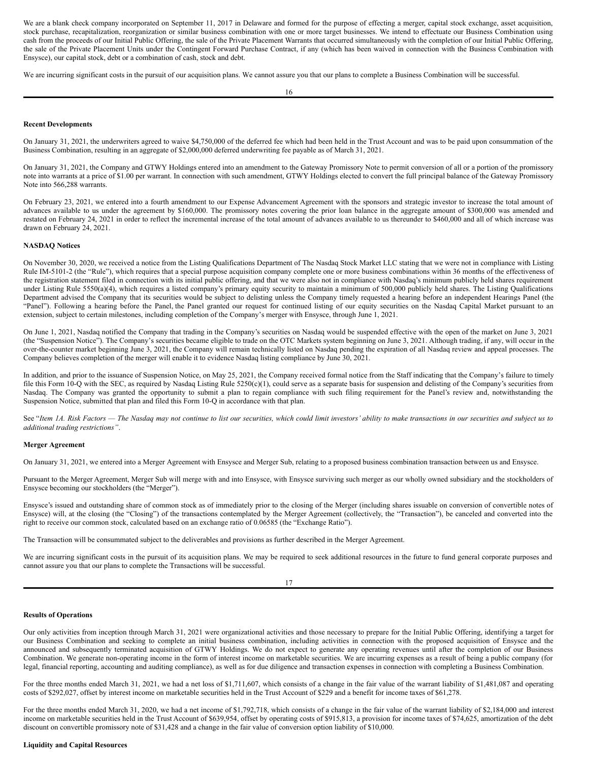We are a blank check company incorporated on September 11, 2017 in Delaware and formed for the purpose of effecting a merger, capital stock exchange, asset acquisition, stock purchase, recapitalization, reorganization or similar business combination with one or more target businesses. We intend to effectuate our Business Combination using cash from the proceeds of our Initial Public Offering, the sale of the Private Placement Warrants that occurred simultaneously with the completion of our Initial Public Offering, the sale of the Private Placement Units under the Contingent Forward Purchase Contract, if any (which has been waived in connection with the Business Combination with Ensysce), our capital stock, debt or a combination of cash, stock and debt.

We are incurring significant costs in the pursuit of our acquisition plans. We cannot assure you that our plans to complete a Business Combination will be successful.

## **Recent Developments**

On January 31, 2021, the underwriters agreed to waive \$4,750,000 of the deferred fee which had been held in the Trust Account and was to be paid upon consummation of the Business Combination, resulting in an aggregate of \$2,000,000 deferred underwriting fee payable as of March 31, 2021.

On January 31, 2021, the Company and GTWY Holdings entered into an amendment to the Gateway Promissory Note to permit conversion of all or a portion of the promissory note into warrants at a price of \$1.00 per warrant. In connection with such amendment, GTWY Holdings elected to convert the full principal balance of the Gateway Promissory Note into 566,288 warrants.

On February 23, 2021, we entered into a fourth amendment to our Expense Advancement Agreement with the sponsors and strategic investor to increase the total amount of advances available to us under the agreement by \$160,000. The promissory notes covering the prior loan balance in the aggregate amount of \$300,000 was amended and restated on February 24, 2021 in order to reflect the incremental increase of the total amount of advances available to us thereunder to \$460,000 and all of which increase was drawn on February 24, 2021.

## **NASDAQ Notices**

On November 30, 2020, we received a notice from the Listing Qualifications Department of The Nasdaq Stock Market LLC stating that we were not in compliance with Listing Rule IM-5101-2 (the "Rule"), which requires that a special purpose acquisition company complete one or more business combinations within 36 months of the effectiveness of the registration statement filed in connection with its initial public offering, and that we were also not in compliance with Nasdaq's minimum publicly held shares requirement under Listing Rule 5550(a)(4), which requires a listed company's primary equity security to maintain a minimum of 500,000 publicly held shares. The Listing Qualifications Department advised the Company that its securities would be subject to delisting unless the Company timely requested a hearing before an independent Hearings Panel (the "Panel"). Following a hearing before the Panel, the Panel granted our request for continued listing of our equity securities on the Nasdaq Capital Market pursuant to an extension, subject to certain milestones, including completion of the Company's merger with Ensysce, through June 1, 2021.

On June 1, 2021, Nasdaq notified the Company that trading in the Company's securities on Nasdaq would be suspended effective with the open of the market on June 3, 2021 (the "Suspension Notice"). The Company's securities became eligible to trade on the OTC Markets system beginning on June 3, 2021. Although trading, if any, will occur in the over-the-counter market beginning June 3, 2021, the Company will remain technically listed on Nasdaq pending the expiration of all Nasdaq review and appeal processes. The Company believes completion of the merger will enable it to evidence Nasdaq listing compliance by June 30, 2021.

In addition, and prior to the issuance of Suspension Notice, on May 25, 2021, the Company received formal notice from the Staff indicating that the Company's failure to timely file this Form 10-Q with the SEC, as required by Nasdaq Listing Rule 5250(c)(1), could serve as a separate basis for suspension and delisting of the Company's securities from Nasdaq. The Company was granted the opportunity to submit a plan to regain compliance with such filing requirement for the Panel's review and, notwithstanding the Suspension Notice, submitted that plan and filed this Form 10-Q in accordance with that plan.

See "Item 1A. Risk Factors - The Nasdaq may not continue to list our securities, which could limit investors' ability to make transactions in our securities and subject us to *additional trading restrictions"*.

#### **Merger Agreement**

On January 31, 2021, we entered into a Merger Agreement with Ensysce and Merger Sub, relating to a proposed business combination transaction between us and Ensysce.

Pursuant to the Merger Agreement, Merger Sub will merge with and into Ensysce, with Ensysce surviving such merger as our wholly owned subsidiary and the stockholders of Ensysce becoming our stockholders (the "Merger").

Ensysce's issued and outstanding share of common stock as of immediately prior to the closing of the Merger (including shares issuable on conversion of convertible notes of Ensysce) will, at the closing (the "Closing") of the transactions contemplated by the Merger Agreement (collectively, the "Transaction"), be canceled and converted into the right to receive our common stock, calculated based on an exchange ratio of 0.06585 (the "Exchange Ratio").

The Transaction will be consummated subject to the deliverables and provisions as further described in the Merger Agreement.

We are incurring significant costs in the pursuit of its acquisition plans. We may be required to seek additional resources in the future to fund general corporate purposes and cannot assure you that our plans to complete the Transactions will be successful.

|  | I |  |
|--|---|--|
|  |   |  |

#### **Results of Operations**

Our only activities from inception through March 31, 2021 were organizational activities and those necessary to prepare for the Initial Public Offering, identifying a target for our Business Combination and seeking to complete an initial business combination, including activities in connection with the proposed acquisition of Ensysce and the announced and subsequently terminated acquisition of GTWY Holdings. We do not expect to generate any operating revenues until after the completion of our Business Combination. We generate non-operating income in the form of interest income on marketable securities. We are incurring expenses as a result of being a public company (for legal, financial reporting, accounting and auditing compliance), as well as for due diligence and transaction expenses in connection with completing a Business Combination.

For the three months ended March 31, 2021, we had a net loss of \$1,711,607, which consists of a change in the fair value of the warrant liability of \$1,481,087 and operating costs of \$292,027, offset by interest income on marketable securities held in the Trust Account of \$229 and a benefit for income taxes of \$61,278.

For the three months ended March 31, 2020, we had a net income of \$1,792,718, which consists of a change in the fair value of the warrant liability of \$2,184,000 and interest income on marketable securities held in the Trust Account of \$639,954, offset by operating costs of \$915,813, a provision for income taxes of \$74,625, amortization of the debt discount on convertible promissory note of \$31,428 and a change in the fair value of conversion option liability of \$10,000.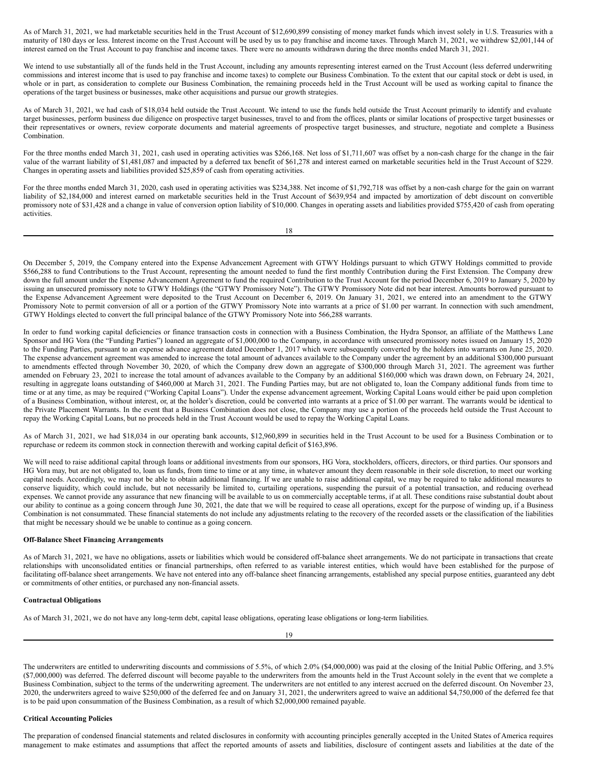As of March 31, 2021, we had marketable securities held in the Trust Account of \$12,690,899 consisting of money market funds which invest solely in U.S. Treasuries with a maturity of 180 days or less. Interest income on the Trust Account will be used by us to pay franchise and income taxes. Through March 31, 2021, we withdrew \$2,001,144 of interest earned on the Trust Account to pay franchise and income taxes. There were no amounts withdrawn during the three months ended March 31, 2021.

We intend to use substantially all of the funds held in the Trust Account, including any amounts representing interest earned on the Trust Account (less deferred underwriting commissions and interest income that is used to pay franchise and income taxes) to complete our Business Combination. To the extent that our capital stock or debt is used, in whole or in part, as consideration to complete our Business Combination, the remaining proceeds held in the Trust Account will be used as working capital to finance the operations of the target business or businesses, make other acquisitions and pursue our growth strategies.

As of March 31, 2021, we had cash of \$18,034 held outside the Trust Account. We intend to use the funds held outside the Trust Account primarily to identify and evaluate target businesses, perform business due diligence on prospective target businesses, travel to and from the offices, plants or similar locations of prospective target businesses or their representatives or owners, review corporate documents and material agreements of prospective target businesses, and structure, negotiate and complete a Business Combination.

For the three months ended March 31, 2021, cash used in operating activities was \$266,168. Net loss of \$1,711,607 was offset by a non-cash charge for the change in the fair value of the warrant liability of \$1,481,087 and impacted by a deferred tax benefit of \$61,278 and interest earned on marketable securities held in the Trust Account of \$229. Changes in operating assets and liabilities provided \$25,859 of cash from operating activities.

For the three months ended March 31, 2020, cash used in operating activities was \$234,388. Net income of \$1,792,718 was offset by a non-cash charge for the gain on warrant liability of \$2,184,000 and interest earned on marketable securities held in the Trust Account of \$639,954 and impacted by amortization of debt discount on convertible promissory note of \$31,428 and a change in value of conversion option liability of \$10,000. Changes in operating assets and liabilities provided \$755,420 of cash from operating activities.

18

On December 5, 2019, the Company entered into the Expense Advancement Agreement with GTWY Holdings pursuant to which GTWY Holdings committed to provide \$566,288 to fund Contributions to the Trust Account, representing the amount needed to fund the first monthly Contribution during the First Extension. The Company drew down the full amount under the Expense Advancement Agreement to fund the required Contribution to the Trust Account for the period December 6, 2019 to January 5, 2020 by issuing an unsecured promissory note to GTWY Holdings (the "GTWY Promissory Note"). The GTWY Promissory Note did not bear interest. Amounts borrowed pursuant to the Expense Advancement Agreement were deposited to the Trust Account on December 6, 2019. On January 31, 2021, we entered into an amendment to the GTWY Promissory Note to permit conversion of all or a portion of the GTWY Promissory Note into warrants at a price of \$1.00 per warrant. In connection with such amendment, GTWY Holdings elected to convert the full principal balance of the GTWY Promissory Note into 566,288 warrants.

In order to fund working capital deficiencies or finance transaction costs in connection with a Business Combination, the Hydra Sponsor, an affiliate of the Matthews Lane Sponsor and HG Vora (the "Funding Parties") loaned an aggregate of \$1,000,000 to the Company, in accordance with unsecured promissory notes issued on January 15, 2020 to the Funding Parties, pursuant to an expense advance agreement dated December 1, 2017 which were subsequently converted by the holders into warrants on June 25, 2020. The expense advancement agreement was amended to increase the total amount of advances available to the Company under the agreement by an additional \$300,000 pursuant to amendments effected through November 30, 2020, of which the Company drew down an aggregate of \$300,000 through March 31, 2021. The agreement was further amended on February 23, 2021 to increase the total amount of advances available to the Company by an additional \$160,000 which was drawn down, on February 24, 2021, resulting in aggregate loans outstanding of \$460,000 at March 31, 2021. The Funding Parties may, but are not obligated to, loan the Company additional funds from time to time or at any time, as may be required ("Working Capital Loans"). Under the expense advancement agreement, Working Capital Loans would either be paid upon completion of a Business Combination, without interest, or, at the holder's discretion, could be converted into warrants at a price of \$1.00 per warrant. The warrants would be identical to the Private Placement Warrants. In the event that a Business Combination does not close, the Company may use a portion of the proceeds held outside the Trust Account to repay the Working Capital Loans, but no proceeds held in the Trust Account would be used to repay the Working Capital Loans.

As of March 31, 2021, we had \$18,034 in our operating bank accounts, \$12,960,899 in securities held in the Trust Account to be used for a Business Combination or to repurchase or redeem its common stock in connection therewith and working capital deficit of \$163,896.

We will need to raise additional capital through loans or additional investments from our sponsors, HG Vora, stockholders, officers, directors, or third parties. Our sponsors and HG Vora may, but are not obligated to, loan us funds, from time to time or at any time, in whatever amount they deem reasonable in their sole discretion, to meet our working capital needs. Accordingly, we may not be able to obtain additional financing. If we are unable to raise additional capital, we may be required to take additional measures to conserve liquidity, which could include, but not necessarily be limited to, curtailing operations, suspending the pursuit of a potential transaction, and reducing overhead expenses. We cannot provide any assurance that new financing will be available to us on commercially acceptable terms, if at all. These conditions raise substantial doubt about our ability to continue as a going concern through June 30, 2021, the date that we will be required to cease all operations, except for the purpose of winding up, if a Business Combination is not consummated. These financial statements do not include any adjustments relating to the recovery of the recorded assets or the classification of the liabilities that might be necessary should we be unable to continue as a going concern.

## **Off-Balance Sheet Financing Arrangements**

As of March 31, 2021, we have no obligations, assets or liabilities which would be considered off-balance sheet arrangements. We do not participate in transactions that create relationships with unconsolidated entities or financial partnerships, often referred to as variable interest entities, which would have been established for the purpose of facilitating off-balance sheet arrangements. We have not entered into any off-balance sheet financing arrangements, established any special purpose entities, guaranteed any debt or commitments of other entities, or purchased any non-financial assets.

## **Contractual Obligations**

As of March 31, 2021, we do not have any long-term debt, capital lease obligations, operating lease obligations or long-term liabilities.

19

The underwriters are entitled to underwriting discounts and commissions of 5.5%, of which 2.0% (\$4,000,000) was paid at the closing of the Initial Public Offering, and 3.5% (\$7,000,000) was deferred. The deferred discount will become payable to the underwriters from the amounts held in the Trust Account solely in the event that we complete a Business Combination, subject to the terms of the underwriting agreement. The underwriters are not entitled to any interest accrued on the deferred discount. On November 23, 2020, the underwriters agreed to waive \$250,000 of the deferred fee and on January 31, 2021, the underwriters agreed to waive an additional \$4,750,000 of the deferred fee that is to be paid upon consummation of the Business Combination, as a result of which \$2,000,000 remained payable.

# **Critical Accounting Policies**

The preparation of condensed financial statements and related disclosures in conformity with accounting principles generally accepted in the United States of America requires management to make estimates and assumptions that affect the reported amounts of assets and liabilities, disclosure of contingent assets and liabilities at the date of the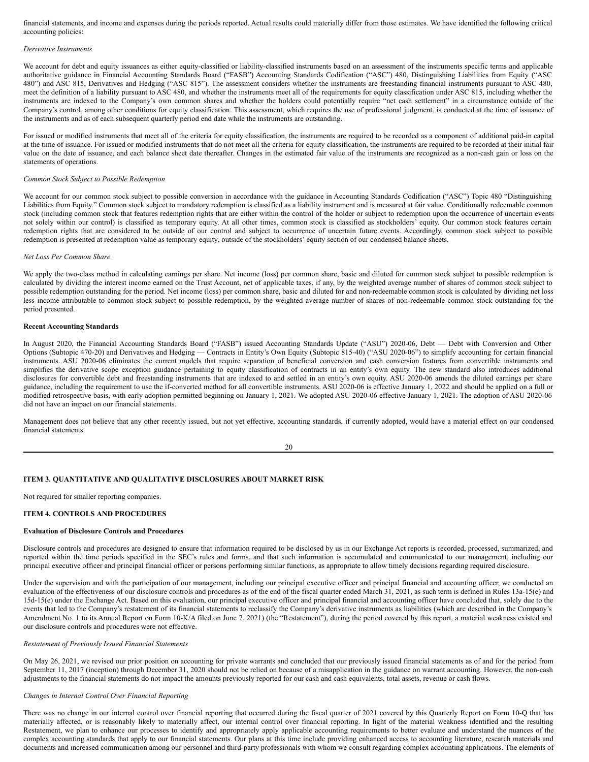financial statements, and income and expenses during the periods reported. Actual results could materially differ from those estimates. We have identified the following critical accounting policies:

### *Derivative Instruments*

We account for debt and equity issuances as either equity-classified or liability-classified instruments based on an assessment of the instruments specific terms and applicable authoritative guidance in Financial Accounting Standards Board ("FASB") Accounting Standards Codification ("ASC") 480, Distinguishing Liabilities from Equity ("ASC 480") and ASC 815, Derivatives and Hedging ("ASC 815"). The assessment considers whether the instruments are freestanding financial instruments pursuant to ASC 480, meet the definition of a liability pursuant to ASC 480, and whether the instruments meet all of the requirements for equity classification under ASC 815, including whether the instruments are indexed to the Company's own common shares and whether the holders could potentially require "net cash settlement" in a circumstance outside of the Company's control, among other conditions for equity classification. This assessment, which requires the use of professional judgment, is conducted at the time of issuance of the instruments and as of each subsequent quarterly period end date while the instruments are outstanding.

For issued or modified instruments that meet all of the criteria for equity classification, the instruments are required to be recorded as a component of additional paid-in capital at the time of issuance. For issued or modified instruments that do not meet all the criteria for equity classification, the instruments are required to be recorded at their initial fair value on the date of issuance, and each balance sheet date thereafter. Changes in the estimated fair value of the instruments are recognized as a non-cash gain or loss on the statements of operations.

## *Common Stock Subject to Possible Redemption*

We account for our common stock subject to possible conversion in accordance with the guidance in Accounting Standards Codification ("ASC") Topic 480 "Distinguishing Liabilities from Equity." Common stock subject to mandatory redemption is classified as a liability instrument and is measured at fair value. Conditionally redeemable common stock (including common stock that features redemption rights that are either within the control of the holder or subject to redemption upon the occurrence of uncertain events not solely within our control) is classified as temporary equity. At all other times, common stock is classified as stockholders' equity. Our common stock features certain redemption rights that are considered to be outside of our control and subject to occurrence of uncertain future events. Accordingly, common stock subject to possible redemption is presented at redemption value as temporary equity, outside of the stockholders' equity section of our condensed balance sheets.

## *Net Loss Per Common Share*

We apply the two-class method in calculating earnings per share. Net income (loss) per common share, basic and diluted for common stock subject to possible redemption is calculated by dividing the interest income earned on the Trust Account, net of applicable taxes, if any, by the weighted average number of shares of common stock subject to possible redemption outstanding for the period. Net income (loss) per common share, basic and diluted for and non-redeemable common stock is calculated by dividing net loss less income attributable to common stock subject to possible redemption, by the weighted average number of shares of non-redeemable common stock outstanding for the period presented.

## **Recent Accounting Standards**

In August 2020, the Financial Accounting Standards Board ("FASB") issued Accounting Standards Update ("ASU") 2020-06, Debt — Debt with Conversion and Other Options (Subtopic 470-20) and Derivatives and Hedging — Contracts in Entity's Own Equity (Subtopic 815-40) ("ASU 2020-06") to simplify accounting for certain financial instruments. ASU 2020-06 eliminates the current models that require separation of beneficial conversion and cash conversion features from convertible instruments and simplifies the derivative scope exception guidance pertaining to equity classification of contracts in an entity's own equity. The new standard also introduces additional disclosures for convertible debt and freestanding instruments that are indexed to and settled in an entity's own equity. ASU 2020-06 amends the diluted earnings per share guidance, including the requirement to use the if-converted method for all convertible instruments. ASU 2020-06 is effective January 1, 2022 and should be applied on a full or modified retrospective basis, with early adoption permitted beginning on January 1, 2021. We adopted ASU 2020-06 effective January 1, 2021. The adoption of ASU 2020-06 did not have an impact on our financial statements.

Management does not believe that any other recently issued, but not yet effective, accounting standards, if currently adopted, would have a material effect on our condensed financial statements.

20

## **ITEM 3. QUANTITATIVE AND QUALITATIVE DISCLOSURES ABOUT MARKET RISK**

Not required for smaller reporting companies.

## **ITEM 4. CONTROLS AND PROCEDURES**

#### **Evaluation of Disclosure Controls and Procedures**

Disclosure controls and procedures are designed to ensure that information required to be disclosed by us in our Exchange Act reports is recorded, processed, summarized, and reported within the time periods specified in the SEC's rules and forms, and that such information is accumulated and communicated to our management, including our principal executive officer and principal financial officer or persons performing similar functions, as appropriate to allow timely decisions regarding required disclosure.

Under the supervision and with the participation of our management, including our principal executive officer and principal financial and accounting officer, we conducted an evaluation of the effectiveness of our disclosure controls and procedures as of the end of the fiscal quarter ended March 31, 2021, as such term is defined in Rules 13a-15(e) and 15d-15(e) under the Exchange Act. Based on this evaluation, our principal executive officer and principal financial and accounting officer have concluded that, solely due to the events that led to the Company's restatement of its financial statements to reclassify the Company's derivative instruments as liabilities (which are described in the Company's Amendment No. 1 to its Annual Report on Form 10-K/A filed on June 7, 2021) (the "Restatement"), during the period covered by this report, a material weakness existed and our disclosure controls and procedures were not effective.

### *Restatement of Previously Issued Financial Statements*

On May 26, 2021, we revised our prior position on accounting for private warrants and concluded that our previously issued financial statements as of and for the period from September 11, 2017 (inception) through December 31, 2020 should not be relied on because of a misapplication in the guidance on warrant accounting. However, the non-cash adjustments to the financial statements do not impact the amounts previously reported for our cash and cash equivalents, total assets, revenue or cash flows.

## *Changes in Internal Control Over Financial Reporting*

There was no change in our internal control over financial reporting that occurred during the fiscal quarter of 2021 covered by this Quarterly Report on Form 10-Q that has materially affected, or is reasonably likely to materially affect, our internal control over financial reporting. In light of the material weakness identified and the resulting Restatement, we plan to enhance our processes to identify and appropriately apply applicable accounting requirements to better evaluate and understand the nuances of the complex accounting standards that apply to our financial statements. Our plans at this time include providing enhanced access to accounting literature, research materials and documents and increased communication among our personnel and third-party professionals with whom we consult regarding complex accounting applications. The elements of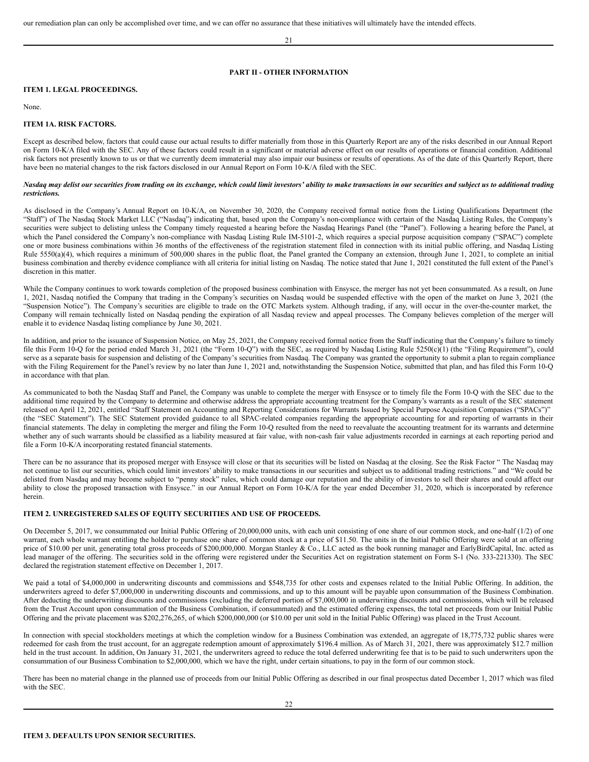21

## **PART II - OTHER INFORMATION**

## **ITEM 1. LEGAL PROCEEDINGS.**

None.

#### **ITEM 1A. RISK FACTORS.**

Except as described below, factors that could cause our actual results to differ materially from those in this Quarterly Report are any of the risks described in our Annual Report on Form 10-K/A filed with the SEC. Any of these factors could result in a significant or material adverse effect on our results of operations or financial condition. Additional risk factors not presently known to us or that we currently deem immaterial may also impair our business or results of operations. As of the date of this Quarterly Report, there have been no material changes to the risk factors disclosed in our Annual Report on Form 10-K/A filed with the SEC.

#### Nasdaq may delist our securities from trading on its exchange, which could limit investors' ability to make transactions in our securities and subject us to additional trading *restrictions.*

As disclosed in the Company's Annual Report on 10-K/A, on November 30, 2020, the Company received formal notice from the Listing Qualifications Department (the "Staff") of The Nasdaq Stock Market LLC ("Nasdaq") indicating that, based upon the Company's non-compliance with certain of the Nasdaq Listing Rules, the Company's securities were subject to delisting unless the Company timely requested a hearing before the Nasdaq Hearings Panel (the "Panel"). Following a hearing before the Panel, at which the Panel considered the Company's non-compliance with Nasdaq Listing Rule IM-5101-2, which requires a special purpose acquisition company ("SPAC") complete one or more business combinations within 36 months of the effectiveness of the registration statement filed in connection with its initial public offering, and Nasdaq Listing Rule 5550(a)(4), which requires a minimum of 500,000 shares in the public float, the Panel granted the Company an extension, through June 1, 2021, to complete an initial business combination and thereby evidence compliance with all criteria for initial listing on Nasdaq. The notice stated that June 1, 2021 constituted the full extent of the Panel's discretion in this matter.

While the Company continues to work towards completion of the proposed business combination with Ensysce, the merger has not yet been consummated. As a result, on June 1, 2021, Nasdaq notified the Company that trading in the Company's securities on Nasdaq would be suspended effective with the open of the market on June 3, 2021 (the "Suspension Notice"). The Company's securities are eligible to trade on the OTC Markets system. Although trading, if any, will occur in the over-the-counter market, the Company will remain technically listed on Nasdaq pending the expiration of all Nasdaq review and appeal processes. The Company believes completion of the merger will enable it to evidence Nasdaq listing compliance by June 30, 2021.

In addition, and prior to the issuance of Suspension Notice, on May 25, 2021, the Company received formal notice from the Staff indicating that the Company's failure to timely file this Form 10-Q for the period ended March 31, 2021 (the "Form 10-Q") with the SEC, as required by Nasdaq Listing Rule 5250(c)(1) (the "Filing Requirement"), could serve as a separate basis for suspension and delisting of the Company's securities from Nasdaq. The Company was granted the opportunity to submit a plan to regain compliance with the Filing Requirement for the Panel's review by no later than June 1, 2021 and, notwithstanding the Suspension Notice, submitted that plan, and has filed this Form 10-Q in accordance with that plan.

As communicated to both the Nasdaq Staff and Panel, the Company was unable to complete the merger with Ensysce or to timely file the Form 10-Q with the SEC due to the additional time required by the Company to determine and otherwise address the appropriate accounting treatment for the Company's warrants as a result of the SEC statement released on April 12, 2021, entitled "Staff Statement on Accounting and Reporting Considerations for Warrants Issued by Special Purpose Acquisition Companies ("SPACs")" (the "SEC Statement"). The SEC Statement provided guidance to all SPAC-related companies regarding the appropriate accounting for and reporting of warrants in their financial statements. The delay in completing the merger and filing the Form 10-Q resulted from the need to reevaluate the accounting treatment for its warrants and determine whether any of such warrants should be classified as a liability measured at fair value, with non-cash fair value adjustments recorded in earnings at each reporting period and file a Form 10-K/A incorporating restated financial statements.

There can be no assurance that its proposed merger with Ensysce will close or that its securities will be listed on Nasdaq at the closing. See the Risk Factor "The Nasdaq may not continue to list our securities, which could limit investors' ability to make transactions in our securities and subject us to additional trading restrictions." and "We could be delisted from Nasdaq and may become subject to "penny stock" rules, which could damage our reputation and the ability of investors to sell their shares and could affect our ability to close the proposed transaction with Ensysce." in our Annual Report on Form 10-K/A for the year ended December 31, 2020, which is incorporated by reference herein.

## **ITEM 2. UNREGISTERED SALES OF EQUITY SECURITIES AND USE OF PROCEEDS.**

On December 5, 2017, we consummated our Initial Public Offering of 20,000,000 units, with each unit consisting of one share of our common stock, and one-half (1/2) of one warrant, each whole warrant entitling the holder to purchase one share of common stock at a price of \$11.50. The units in the Initial Public Offering were sold at an offering price of \$10.00 per unit, generating total gross proceeds of \$200,000,000. Morgan Stanley & Co., LLC acted as the book running manager and EarlyBirdCapital, Inc. acted as lead manager of the offering. The securities sold in the offering were registered under the Securities Act on registration statement on Form S-1 (No. 333-221330). The SEC declared the registration statement effective on December 1, 2017.

We paid a total of \$4,000,000 in underwriting discounts and commissions and \$548,735 for other costs and expenses related to the Initial Public Offering. In addition, the underwriters agreed to defer \$7,000,000 in underwriting discounts and commissions, and up to this amount will be payable upon consummation of the Business Combination. After deducting the underwriting discounts and commissions (excluding the deferred portion of \$7,000,000 in underwriting discounts and commissions, which will be released from the Trust Account upon consummation of the Business Combination, if consummated) and the estimated offering expenses, the total net proceeds from our Initial Public Offering and the private placement was \$202,276,265, of which \$200,000,000 (or \$10.00 per unit sold in the Initial Public Offering) was placed in the Trust Account.

In connection with special stockholders meetings at which the completion window for a Business Combination was extended, an aggregate of 18,775,732 public shares were redeemed for cash from the trust account, for an aggregate redemption amount of approximately \$196.4 million. As of March 31, 2021, there was approximately \$12.7 million held in the trust account. In addition, On January 31, 2021, the underwriters agreed to reduce the total deferred underwriting fee that is to be paid to such underwriters upon the consummation of our Business Combination to \$2,000,000, which we have the right, under certain situations, to pay in the form of our common stock.

There has been no material change in the planned use of proceeds from our Initial Public Offering as described in our final prospectus dated December 1, 2017 which was filed with the SEC.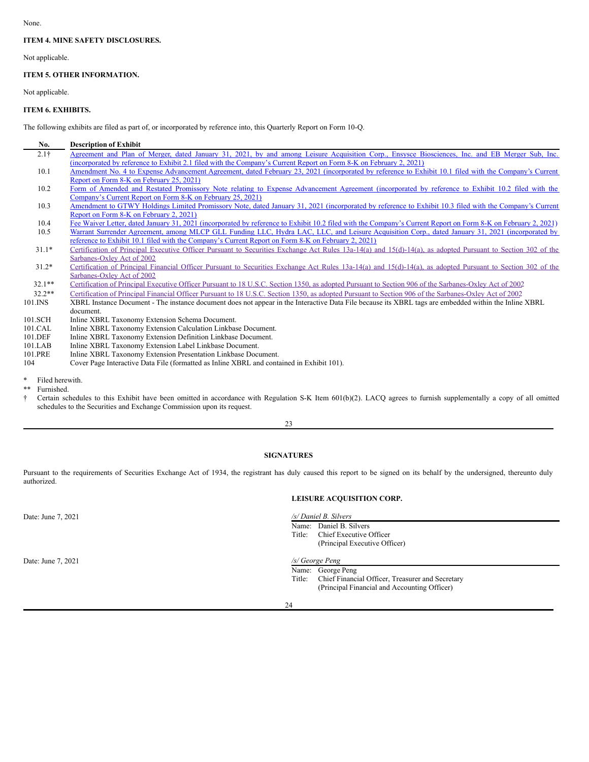#### None.

## **ITEM 4. MINE SAFETY DISCLOSURES.**

Not applicable.

# **ITEM 5. OTHER INFORMATION.**

Not applicable.

# **ITEM 6. EXHIBITS.**

The following exhibits are filed as part of, or incorporated by reference into, this Quarterly Report on Form 10-Q.

| No.          | <b>Description of Exhibit</b>                                                                                                                                 |
|--------------|---------------------------------------------------------------------------------------------------------------------------------------------------------------|
| $2.1\dagger$ | Agreement and Plan of Merger, dated January 31, 2021, by and among Leisure Acquisition Corp., Ensysce Biosciences, Inc. and EB Merger Sub, Inc.               |
|              | (incorporated by reference to Exhibit 2.1 filed with the Company's Current Report on Form 8-K on February 2, 2021)                                            |
| 10.1         | Amendment No. 4 to Expense Advancement Agreement, dated February 23, 2021 (incorporated by reference to Exhibit 10.1 filed with the Company's Current         |
|              | Report on Form 8-K on February 25, 2021)                                                                                                                      |
| 10.2         | Form of Amended and Restated Promissory Note relating to Expense Advancement Agreement (incorporated by reference to Exhibit 10.2 filed with the              |
|              | Company's Current Report on Form 8-K on February 25, 2021)                                                                                                    |
| 10.3         | Amendment to GTWY Holdings Limited Promissory Note, dated January 31, 2021 (incorporated by reference to Exhibit 10.3 filed with the Company's Current        |
|              | Report on Form 8-K on February 2, 2021)                                                                                                                       |
| 10.4         | Fee Waiver Letter, dated January 31, 2021 (incorporated by reference to Exhibit 10.2 filed with the Company's Current Report on Form 8-K on February 2, 2021) |
| 10.5         | Warrant Surrender Agreement, among MLCP GLL Funding LLC, Hydra LAC, LLC, and Leisure Acquisition Corp., dated January 31, 2021 (incorporated by               |
|              | reference to Exhibit 10.1 filed with the Company's Current Report on Form 8-K on February 2, 2021)                                                            |
| $31.1*$      | Certification of Principal Executive Officer Pursuant to Securities Exchange Act Rules 13a-14(a) and 15(d)-14(a), as adopted Pursuant to Section 302 of the   |
|              | Sarbanes-Oxley Act of 2002                                                                                                                                    |
| $31.2*$      | Certification of Principal Financial Officer Pursuant to Securities Exchange Act Rules 13a-14(a) and 15(d)-14(a), as adopted Pursuant to Section 302 of the   |
|              | Sarbanes-Oxley Act of 2002                                                                                                                                    |
| $32.1**$     | Certification of Principal Executive Officer Pursuant to 18 U.S.C. Section 1350, as adopted Pursuant to Section 906 of the Sarbanes-Oxley Act of 2002         |
| $32.2**$     | Certification of Principal Financial Officer Pursuant to 18 U.S.C. Section 1350, as adopted Pursuant to Section 906 of the Sarbanes-Oxley Act of 2002         |
| 101.INS      | XBRL Instance Document - The instance document does not appear in the Interactive Data File because its XBRL tags are embedded within the Inline XBRL         |
|              | document.                                                                                                                                                     |
| 101.SCH      | Inline XBRL Taxonomy Extension Schema Document.                                                                                                               |
| 101.CAL      | Inline XBRL Taxonomy Extension Calculation Linkbase Document.                                                                                                 |
| 101.DEF      | Inline XBRL Taxonomy Extension Definition Linkbase Document.                                                                                                  |
| 101.LAB      | Inline XBRL Taxonomy Extension Label Linkbase Document.                                                                                                       |
| 101.PRE      | Inline XBRL Taxonomy Extension Presentation Linkbase Document.                                                                                                |

- 104 Cover Page Interactive Data File (formatted as Inline XBRL and contained in Exhibit 101).
- Filed herewith.

\*\* Furnished.

† Certain schedules to this Exhibit have been omitted in accordance with Regulation S-K Item 601(b)(2). LACQ agrees to furnish supplementally a copy of all omitted schedules to the Securities and Exchange Commission upon its request.

23

# **SIGNATURES**

Pursuant to the requirements of Securities Exchange Act of 1934, the registrant has duly caused this report to be signed on its behalf by the undersigned, thereunto duly authorized.

**LEISURE ACQUISITION CORP.**

| /s/ Daniel B. Silvers                                   |
|---------------------------------------------------------|
| Name: Daniel B. Silvers                                 |
| Chief Executive Officer<br>Title:                       |
| (Principal Executive Officer)                           |
| /s/ George Peng                                         |
| Name: George Peng                                       |
| Title: Chief Financial Officer, Treasurer and Secretary |
| (Principal Financial and Accounting Officer)            |
| 24                                                      |
|                                                         |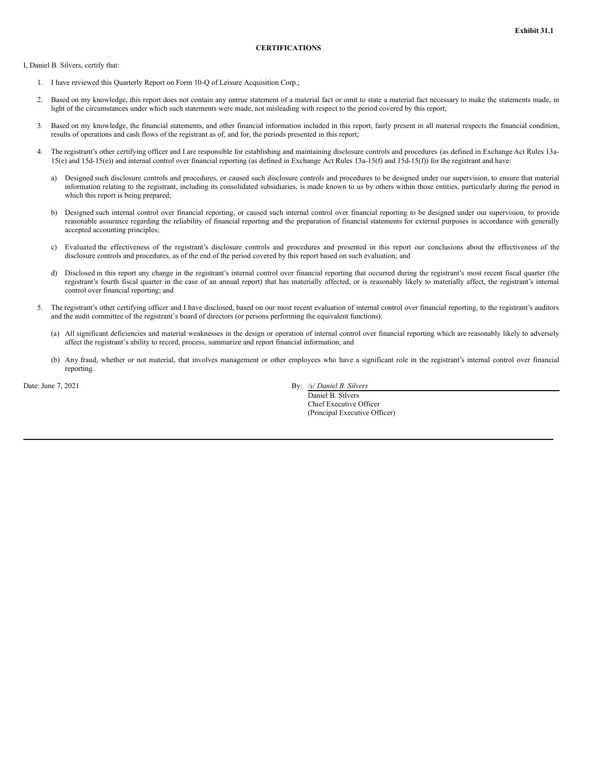## **CERTIFICATIONS**

<span id="page-17-0"></span>I, Daniel B. Silvers, certify that:

- 1. I have reviewed this Quarterly Report on Form 10-Q of Leisure Acquisition Corp.;
- 2. Based on my knowledge, this report does not contain any untrue statement of a material fact or omit to state a material fact necessary to make the statements made, in light of the circumstances under which such statements were made, not misleading with respect to the period covered by this report;
- 3. Based on my knowledge, the financial statements, and other financial information included in this report, fairly present in all material respects the financial condition, results of operations and cash flows of the registrant as of, and for, the periods presented in this report;
- The registrant's other certifying officer and I are responsible for establishing and maintaining disclosure controls and procedures (as defined in Exchange Act Rules 13a- $15(e)$  and  $15d-15(e)$  and internal control over financial reporting (as defined in Exchange Act Rules  $13a-15(f)$  and  $15d-15(f)$ ) for the registrant and have:
	- a) Designed such disclosure controls and procedures, or caused such disclosure controls and procedures to be designed under our supervision, to ensure that material information relating to the registrant, including its consolidated subsidiaries, is made known to us by others within those entities, particularly during the period in which this report is being prepared;
	- b) Designed such internal control over financial reporting, or caused such internal control over financial reporting to be designed under our supervision, to provide reasonable assurance regarding the reliability of financial reporting and the preparation of financial statements for external purposes in accordance with generally accepted accounting principles;
	- c) Evaluated the effectiveness of the registrant's disclosure controls and procedures and presented in this report our conclusions about the effectiveness of the disclosure controls and procedures, as of the end of the period covered by this report based on such evaluation; and
	- d) Disclosed in this report any change in the registrant's internal control over financial reporting that occurred during the registrant's most recent fiscal quarter (the registrant's fourth fiscal quarter in the case of an annual report) that has materially affected, or is reasonably likely to materially affect, the registrant's internal control over financial reporting; and
- 5. The registrant's other certifying officer and I have disclosed, based on our most recent evaluation of internal control over financial reporting, to the registrant's auditors and the audit committee of the registrant's board of directors (or persons performing the equivalent functions):
	- (a) All significant deficiencies and material weaknesses in the design or operation of internal control over financial reporting which are reasonably likely to adversely affect the registrant's ability to record, process, summarize and report financial information; and
	- (b) Any fraud, whether or not material, that involves management or other employees who have a significant role in the registrant's internal control over financial reporting.

Date: June 7, 2021 By: */s/ Daniel B. Silvers*

Daniel B. Silvers Chief Executive Officer (Principal Executive Officer)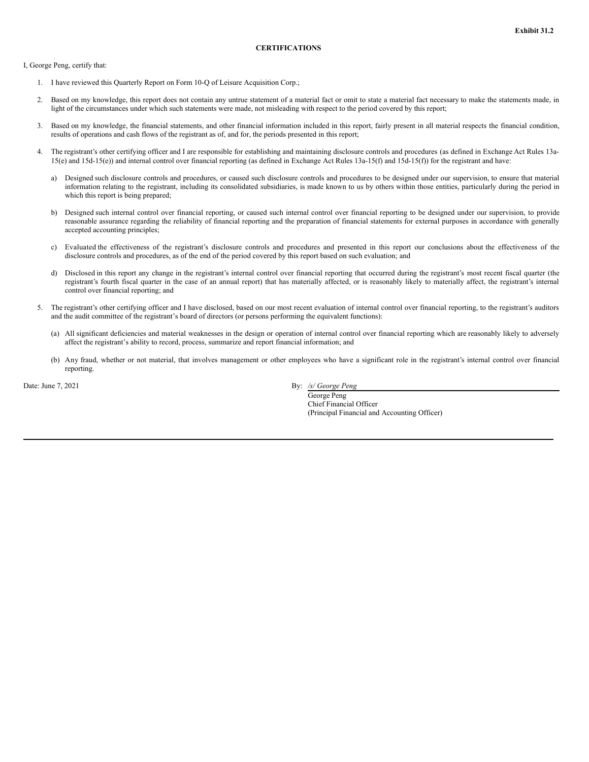## **CERTIFICATIONS**

<span id="page-18-0"></span>I, George Peng, certify that:

- 1. I have reviewed this Quarterly Report on Form 10-Q of Leisure Acquisition Corp.;
- 2. Based on my knowledge, this report does not contain any untrue statement of a material fact or omit to state a material fact necessary to make the statements made, in light of the circumstances under which such statements were made, not misleading with respect to the period covered by this report;
- 3. Based on my knowledge, the financial statements, and other financial information included in this report, fairly present in all material respects the financial condition, results of operations and cash flows of the registrant as of, and for, the periods presented in this report;
- The registrant's other certifying officer and I are responsible for establishing and maintaining disclosure controls and procedures (as defined in Exchange Act Rules 13a- $15(e)$  and  $15d-15(e)$  and internal control over financial reporting (as defined in Exchange Act Rules  $13a-15(f)$  and  $15d-15(f)$ ) for the registrant and have:
	- a) Designed such disclosure controls and procedures, or caused such disclosure controls and procedures to be designed under our supervision, to ensure that material information relating to the registrant, including its consolidated subsidiaries, is made known to us by others within those entities, particularly during the period in which this report is being prepared;
	- b) Designed such internal control over financial reporting, or caused such internal control over financial reporting to be designed under our supervision, to provide reasonable assurance regarding the reliability of financial reporting and the preparation of financial statements for external purposes in accordance with generally accepted accounting principles;
	- c) Evaluated the effectiveness of the registrant's disclosure controls and procedures and presented in this report our conclusions about the effectiveness of the disclosure controls and procedures, as of the end of the period covered by this report based on such evaluation; and
	- d) Disclosed in this report any change in the registrant's internal control over financial reporting that occurred during the registrant's most recent fiscal quarter (the registrant's fourth fiscal quarter in the case of an annual report) that has materially affected, or is reasonably likely to materially affect, the registrant's internal control over financial reporting; and
- 5. The registrant's other certifying officer and I have disclosed, based on our most recent evaluation of internal control over financial reporting, to the registrant's auditors and the audit committee of the registrant's board of directors (or persons performing the equivalent functions):
	- (a) All significant deficiencies and material weaknesses in the design or operation of internal control over financial reporting which are reasonably likely to adversely affect the registrant's ability to record, process, summarize and report financial information; and
	- (b) Any fraud, whether or not material, that involves management or other employees who have a significant role in the registrant's internal control over financial reporting.

Date: June 7, 2021 By: */s/ George Peng*

George Peng Chief Financial Officer (Principal Financial and Accounting Officer)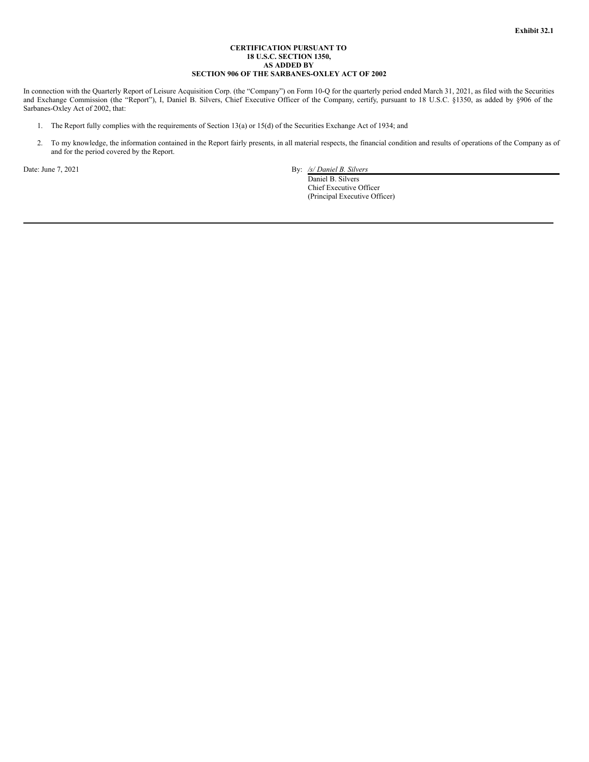## **CERTIFICATION PURSUANT TO 18 U.S.C. SECTION 1350, AS ADDED BY SECTION 906 OF THE SARBANES-OXLEY ACT OF 2002**

<span id="page-19-0"></span>In connection with the Quarterly Report of Leisure Acquisition Corp. (the "Company") on Form 10-Q for the quarterly period ended March 31, 2021, as filed with the Securities and Exchange Commission (the "Report"), I, Daniel B. Silvers, Chief Executive Officer of the Company, certify, pursuant to 18 U.S.C. §1350, as added by §906 of the Sarbanes-Oxley Act of 2002, that:

- 1. The Report fully complies with the requirements of Section 13(a) or 15(d) of the Securities Exchange Act of 1934; and
- 2. To my knowledge, the information contained in the Report fairly presents, in all material respects, the financial condition and results of operations of the Company as of and for the period covered by the Report.

Date: June 7, 2021 By: */s/ Daniel B. Silvers*

Daniel B. Silvers Chief Executive Officer (Principal Executive Officer)